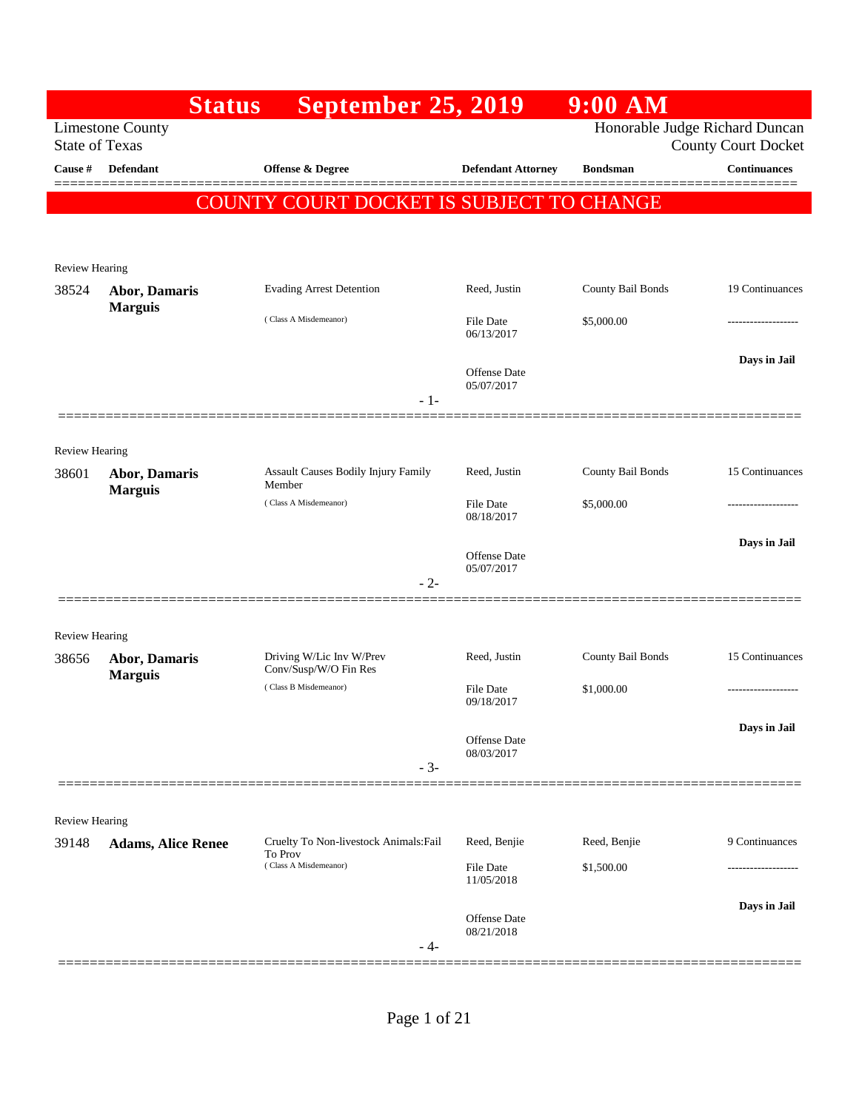|                       | <b>Status</b>                   | <b>September 25, 2019</b>                         |                                | $9:00$ AM         |                                                              |
|-----------------------|---------------------------------|---------------------------------------------------|--------------------------------|-------------------|--------------------------------------------------------------|
| <b>State of Texas</b> | <b>Limestone County</b>         |                                                   |                                |                   | Honorable Judge Richard Duncan<br><b>County Court Docket</b> |
| Cause #               | <b>Defendant</b>                | <b>Offense &amp; Degree</b>                       | <b>Defendant Attorney</b>      | <b>Bondsman</b>   | <b>Continuances</b>                                          |
|                       |                                 | COUNTY COURT DOCKET IS SUBJECT TO CHANGE          |                                |                   |                                                              |
|                       |                                 |                                                   |                                |                   |                                                              |
| <b>Review Hearing</b> |                                 |                                                   |                                |                   |                                                              |
| 38524                 | <b>Abor, Damaris</b>            | <b>Evading Arrest Detention</b>                   | Reed, Justin                   | County Bail Bonds | 19 Continuances                                              |
|                       | <b>Marguis</b>                  | (Class A Misdemeanor)                             | <b>File Date</b><br>06/13/2017 | \$5,000.00        |                                                              |
|                       |                                 |                                                   | <b>Offense Date</b>            |                   | Days in Jail                                                 |
|                       |                                 | $-1-$                                             | 05/07/2017                     |                   |                                                              |
| Review Hearing        |                                 |                                                   |                                |                   |                                                              |
| 38601                 | Abor, Damaris<br><b>Marguis</b> | Assault Causes Bodily Injury Family<br>Member     | Reed, Justin                   | County Bail Bonds | 15 Continuances                                              |
|                       |                                 | (Class A Misdemeanor)                             | <b>File Date</b><br>08/18/2017 | \$5,000.00        | .                                                            |
|                       |                                 |                                                   | <b>Offense Date</b>            |                   | Days in Jail                                                 |
|                       |                                 | $-2-$                                             | 05/07/2017                     |                   |                                                              |
| <b>Review Hearing</b> |                                 |                                                   |                                |                   |                                                              |
| 38656                 | Abor, Damaris<br><b>Marguis</b> | Driving W/Lic Inv W/Prev<br>Conv/Susp/W/O Fin Res | Reed, Justin                   | County Bail Bonds | 15 Continuances                                              |
|                       |                                 | (Class B Misdemeanor)                             | <b>File Date</b><br>09/18/2017 | \$1,000.00        | .                                                            |
|                       |                                 |                                                   | Offense Date                   |                   | Days in Jail                                                 |
|                       |                                 | $-3-$                                             | 08/03/2017                     |                   |                                                              |
| Review Hearing        |                                 |                                                   |                                |                   |                                                              |
| 39148                 | <b>Adams, Alice Renee</b>       | Cruelty To Non-livestock Animals: Fail<br>To Prov | Reed, Benjie                   | Reed, Benjie      | 9 Continuances                                               |
|                       |                                 | (Class A Misdemeanor)                             | File Date<br>11/05/2018        | \$1,500.00        |                                                              |
|                       |                                 |                                                   | Offense Date<br>08/21/2018     |                   | Days in Jail                                                 |
|                       |                                 | - 4-                                              |                                |                   |                                                              |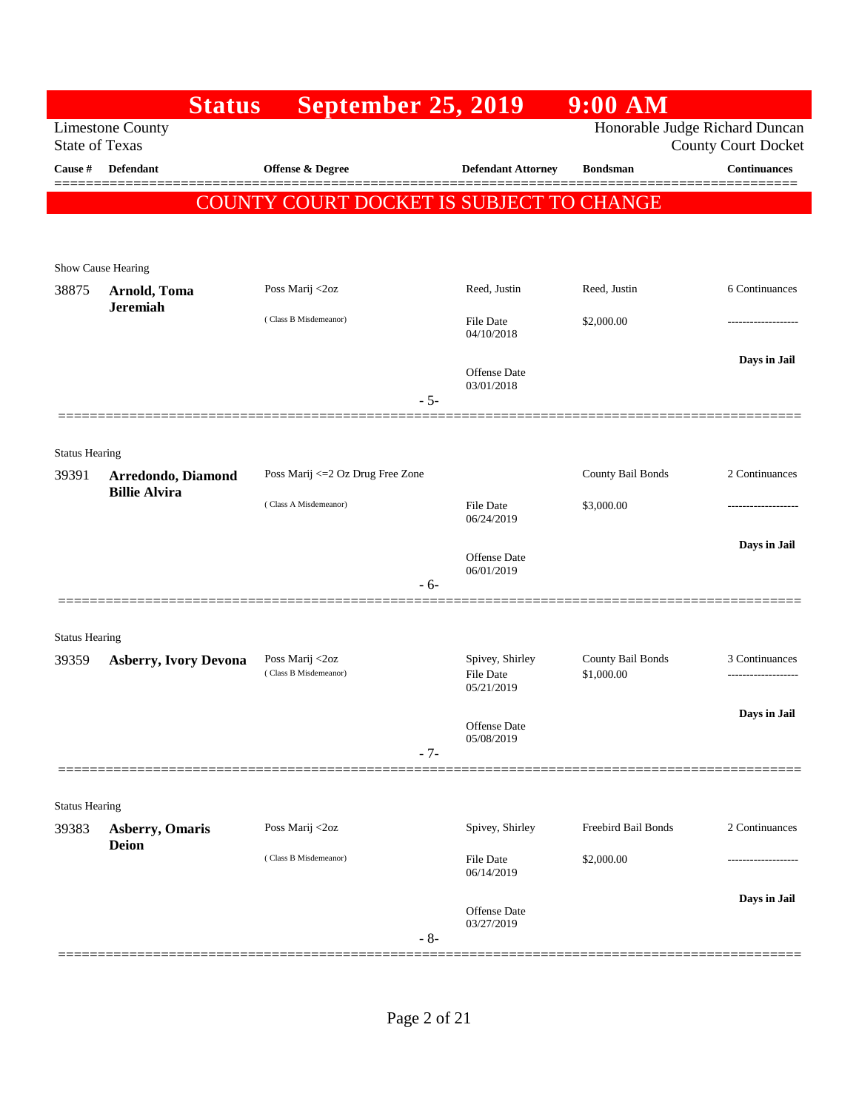|                       | <b>Status</b>                              | <b>September 25, 2019</b>                |                                   | $9:00$ AM                      |                            |
|-----------------------|--------------------------------------------|------------------------------------------|-----------------------------------|--------------------------------|----------------------------|
| <b>State of Texas</b> | <b>Limestone County</b>                    |                                          |                                   | Honorable Judge Richard Duncan | <b>County Court Docket</b> |
| Cause #               | <b>Defendant</b>                           | Offense & Degree                         | <b>Defendant Attorney</b>         | <b>Bondsman</b>                | <b>Continuances</b>        |
|                       |                                            | COUNTY COURT DOCKET IS SUBJECT TO CHANGE |                                   |                                |                            |
|                       |                                            |                                          |                                   |                                |                            |
|                       | Show Cause Hearing                         |                                          |                                   |                                |                            |
| 38875                 | Arnold, Toma<br><b>Jeremiah</b>            | Poss Marij <2oz                          | Reed, Justin                      | Reed, Justin                   | 6 Continuances             |
|                       |                                            | (Class B Misdemeanor)                    | <b>File Date</b><br>04/10/2018    | \$2,000.00                     |                            |
|                       |                                            | $-5-$                                    | <b>Offense Date</b><br>03/01/2018 |                                | Days in Jail               |
|                       | =============                              |                                          |                                   |                                |                            |
| <b>Status Hearing</b> |                                            |                                          |                                   |                                |                            |
| 39391                 | Arredondo, Diamond<br><b>Billie Alvira</b> | Poss Marij <= 2 Oz Drug Free Zone        |                                   | County Bail Bonds              | 2 Continuances             |
|                       |                                            | (Class A Misdemeanor)                    | <b>File Date</b><br>06/24/2019    | \$3,000.00                     | -------------------        |
|                       |                                            |                                          | <b>Offense Date</b>               |                                | Days in Jail               |
|                       |                                            | - 6-                                     | 06/01/2019                        |                                |                            |
|                       |                                            |                                          |                                   |                                |                            |
| <b>Status Hearing</b> |                                            | Poss Marij <2oz                          | Spivey, Shirley                   | County Bail Bonds              | 3 Continuances             |
| 39359                 | <b>Asberry, Ivory Devona</b>               | (Class B Misdemeanor)                    | <b>File Date</b><br>05/21/2019    | \$1,000.00                     | ------------------         |
|                       |                                            |                                          | Offense Date<br>05/08/2019        |                                | Days in Jail               |
|                       |                                            | $-7-$                                    |                                   |                                |                            |
| <b>Status Hearing</b> |                                            |                                          |                                   |                                |                            |
| 39383                 | <b>Asberry</b> , Omaris<br><b>Deion</b>    | Poss Marij <2oz                          | Spivey, Shirley                   | Freebird Bail Bonds            | 2 Continuances             |
|                       |                                            | (Class B Misdemeanor)                    | File Date<br>06/14/2019           | \$2,000.00                     |                            |
|                       |                                            | $-8-$                                    | Offense Date<br>03/27/2019        |                                | Days in Jail               |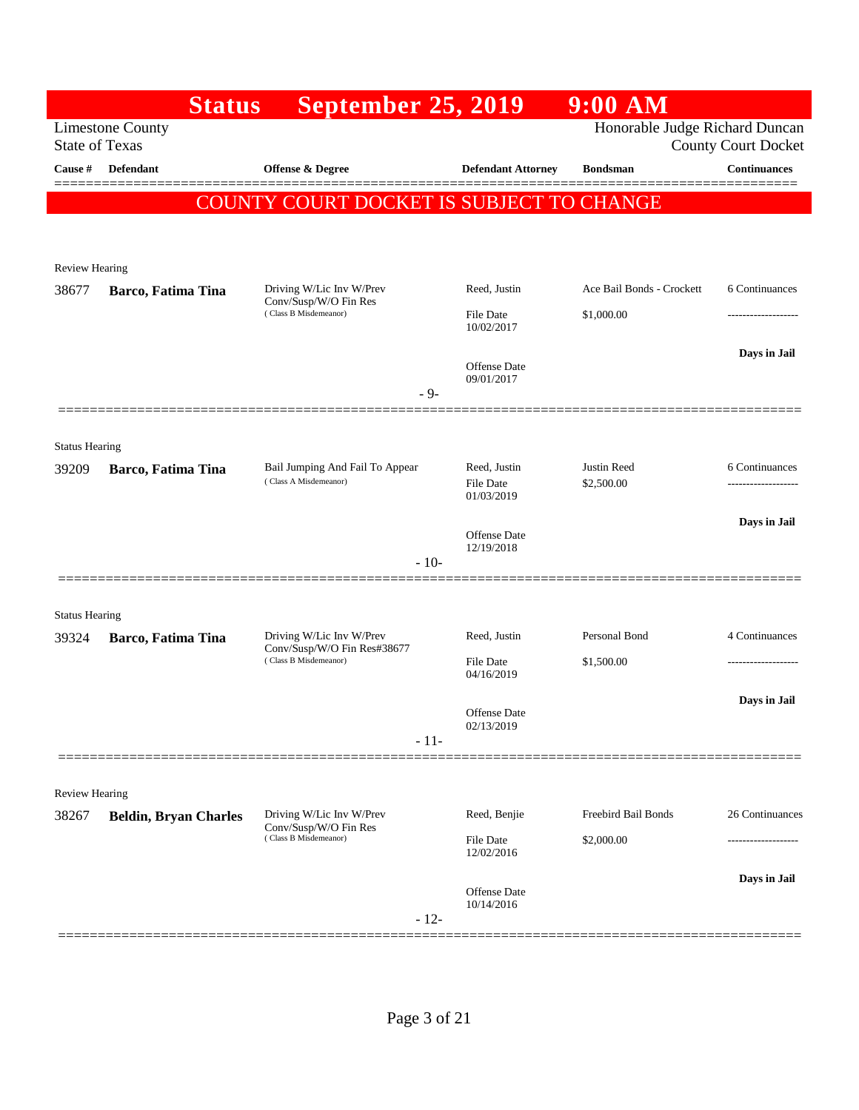| <b>Limestone County</b><br><b>State of Texas</b><br>Defendant<br>Cause # | September 25, 2019<br><b>Offense &amp; Degree</b>                                |        |                                  | Honorable Judge Richard Duncan    | <b>County Court Docket</b> |
|--------------------------------------------------------------------------|----------------------------------------------------------------------------------|--------|----------------------------------|-----------------------------------|----------------------------|
|                                                                          |                                                                                  |        |                                  |                                   |                            |
|                                                                          |                                                                                  |        | <b>Defendant Attorney</b>        | <b>Bondsman</b>                   | <b>Continuances</b>        |
|                                                                          | COUNTY COURT DOCKET IS SUBJECT TO CHANGE                                         |        |                                  |                                   |                            |
|                                                                          |                                                                                  |        |                                  |                                   |                            |
| <b>Review Hearing</b>                                                    |                                                                                  |        |                                  |                                   |                            |
| Barco, Fatima Tina<br>38677                                              | Driving W/Lic Inv W/Prev                                                         |        | Reed, Justin                     | Ace Bail Bonds - Crockett         | 6 Continuances             |
|                                                                          | Conv/Susp/W/O Fin Res<br>(Class B Misdemeanor)                                   |        | File Date<br>10/02/2017          | \$1,000.00                        |                            |
|                                                                          |                                                                                  |        |                                  |                                   | Days in Jail               |
|                                                                          |                                                                                  |        | Offense Date<br>09/01/2017       |                                   |                            |
|                                                                          |                                                                                  | $-9-$  |                                  |                                   |                            |
| <b>Status Hearing</b>                                                    |                                                                                  |        |                                  |                                   |                            |
| 39209<br>Barco, Fatima Tina                                              | Bail Jumping And Fail To Appear                                                  |        | Reed, Justin                     | Justin Reed                       | 6 Continuances             |
|                                                                          | (Class A Misdemeanor)                                                            |        | <b>File Date</b><br>01/03/2019   | \$2,500.00                        |                            |
|                                                                          |                                                                                  |        | Offense Date                     |                                   | Days in Jail               |
|                                                                          |                                                                                  | $-10-$ | 12/19/2018                       |                                   |                            |
|                                                                          |                                                                                  |        |                                  |                                   |                            |
| <b>Status Hearing</b>                                                    |                                                                                  |        |                                  |                                   |                            |
| 39324<br>Barco, Fatima Tina                                              | Driving W/Lic Inv W/Prev<br>Conv/Susp/W/O Fin Res#38677<br>(Class B Misdemeanor) |        | Reed, Justin<br>File Date        | Personal Bond<br>\$1,500.00       | 4 Continuances             |
|                                                                          |                                                                                  |        | 04/16/2019                       |                                   |                            |
|                                                                          |                                                                                  |        | Offense Date                     |                                   | Days in Jail               |
|                                                                          |                                                                                  | $-11-$ | 02/13/2019                       |                                   |                            |
|                                                                          |                                                                                  |        |                                  |                                   |                            |
| <b>Review Hearing</b>                                                    |                                                                                  |        |                                  |                                   |                            |
| 38267<br><b>Beldin, Bryan Charles</b>                                    | Driving W/Lic Inv W/Prev<br>Conv/Susp/W/O Fin Res<br>(Class B Misdemeanor)       |        | Reed, Benjie<br><b>File Date</b> | Freebird Bail Bonds<br>\$2,000.00 | 26 Continuances            |
|                                                                          |                                                                                  |        | 12/02/2016                       |                                   |                            |
|                                                                          |                                                                                  |        | Offense Date                     |                                   | Days in Jail               |
|                                                                          |                                                                                  | $-12-$ | 10/14/2016                       |                                   |                            |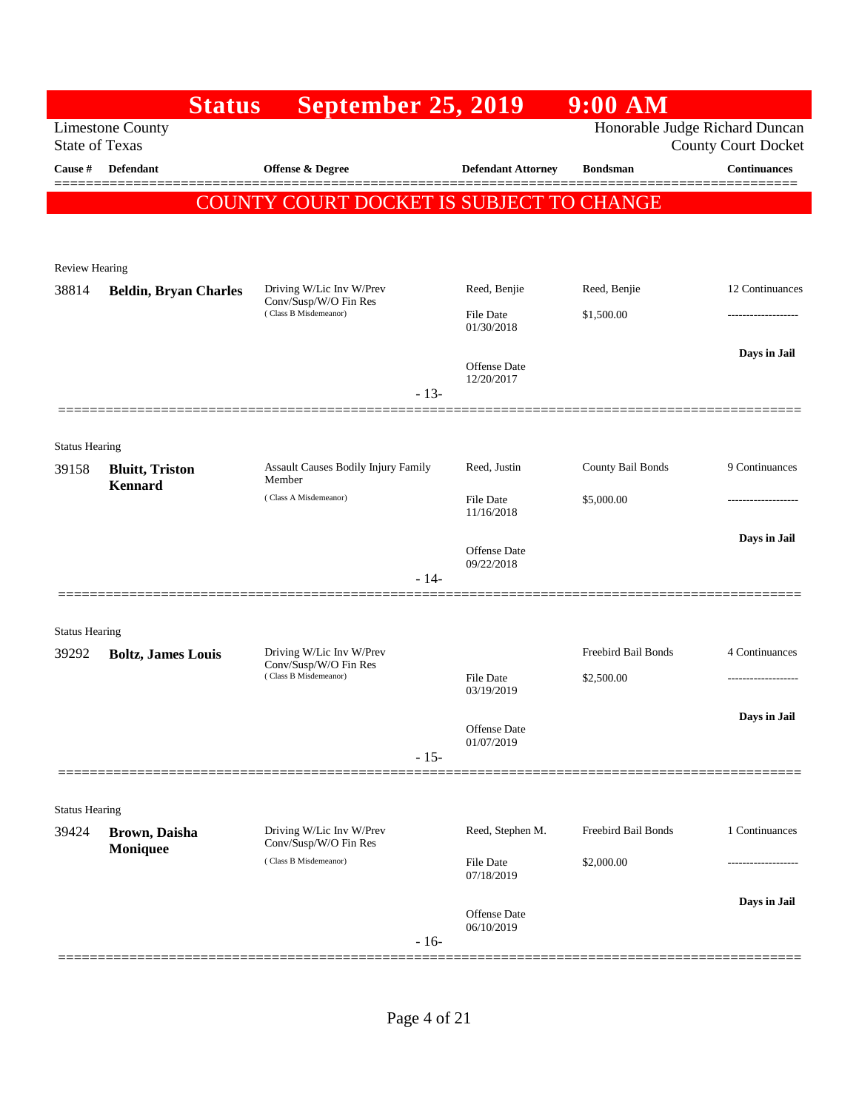|                                | <b>Status</b>                | <b>September 25, 2019</b>                         |        |                                   | $9:00$ AM                      |                            |
|--------------------------------|------------------------------|---------------------------------------------------|--------|-----------------------------------|--------------------------------|----------------------------|
| <b>State of Texas</b>          | <b>Limestone County</b>      |                                                   |        |                                   | Honorable Judge Richard Duncan | <b>County Court Docket</b> |
| Cause #                        | <b>Defendant</b>             | <b>Offense &amp; Degree</b>                       |        | <b>Defendant Attorney</b>         | <b>Bondsman</b>                | <b>Continuances</b>        |
|                                |                              | COUNTY COURT DOCKET IS SUBJECT TO CHANGE          |        |                                   |                                |                            |
| <b>Review Hearing</b>          |                              |                                                   |        |                                   |                                |                            |
| 38814                          | <b>Beldin, Bryan Charles</b> | Driving W/Lic Inv W/Prev<br>Conv/Susp/W/O Fin Res |        | Reed, Benjie                      | Reed, Benjie                   | 12 Continuances            |
|                                |                              | (Class B Misdemeanor)                             |        | File Date<br>01/30/2018           | \$1,500.00                     |                            |
|                                |                              |                                                   | $-13-$ | <b>Offense Date</b><br>12/20/2017 |                                | Days in Jail               |
|                                |                              |                                                   |        |                                   |                                |                            |
| <b>Status Hearing</b><br>39158 | <b>Bluitt</b> , Triston      | Assault Causes Bodily Injury Family<br>Member     |        | Reed, Justin                      | County Bail Bonds              | 9 Continuances             |
|                                | <b>Kennard</b>               | (Class A Misdemeanor)                             |        | File Date<br>11/16/2018           | \$5,000.00                     |                            |
|                                |                              |                                                   | $-14-$ | <b>Offense Date</b><br>09/22/2018 |                                | Days in Jail               |
| <b>Status Hearing</b>          |                              |                                                   |        |                                   |                                |                            |
| 39292                          | <b>Boltz, James Louis</b>    | Driving W/Lic Inv W/Prev<br>Conv/Susp/W/O Fin Res |        |                                   | Freebird Bail Bonds            | 4 Continuances             |
|                                |                              | (Class B Misdemeanor)                             |        | File Date<br>03/19/2019           | \$2,500.00                     |                            |
|                                |                              |                                                   | $-15-$ | Offense Date<br>01/07/2019        |                                | Days in Jail               |
|                                |                              |                                                   |        |                                   |                                |                            |
| <b>Status Hearing</b><br>39424 | Brown, Daisha                | Driving W/Lic Inv W/Prev                          |        | Reed, Stephen M.                  | Freebird Bail Bonds            | 1 Continuances             |
|                                | Moniquee                     | Conv/Susp/W/O Fin Res<br>(Class B Misdemeanor)    |        | <b>File Date</b><br>07/18/2019    | \$2,000.00                     |                            |
|                                |                              |                                                   | $-16-$ | <b>Offense Date</b><br>06/10/2019 |                                | Days in Jail               |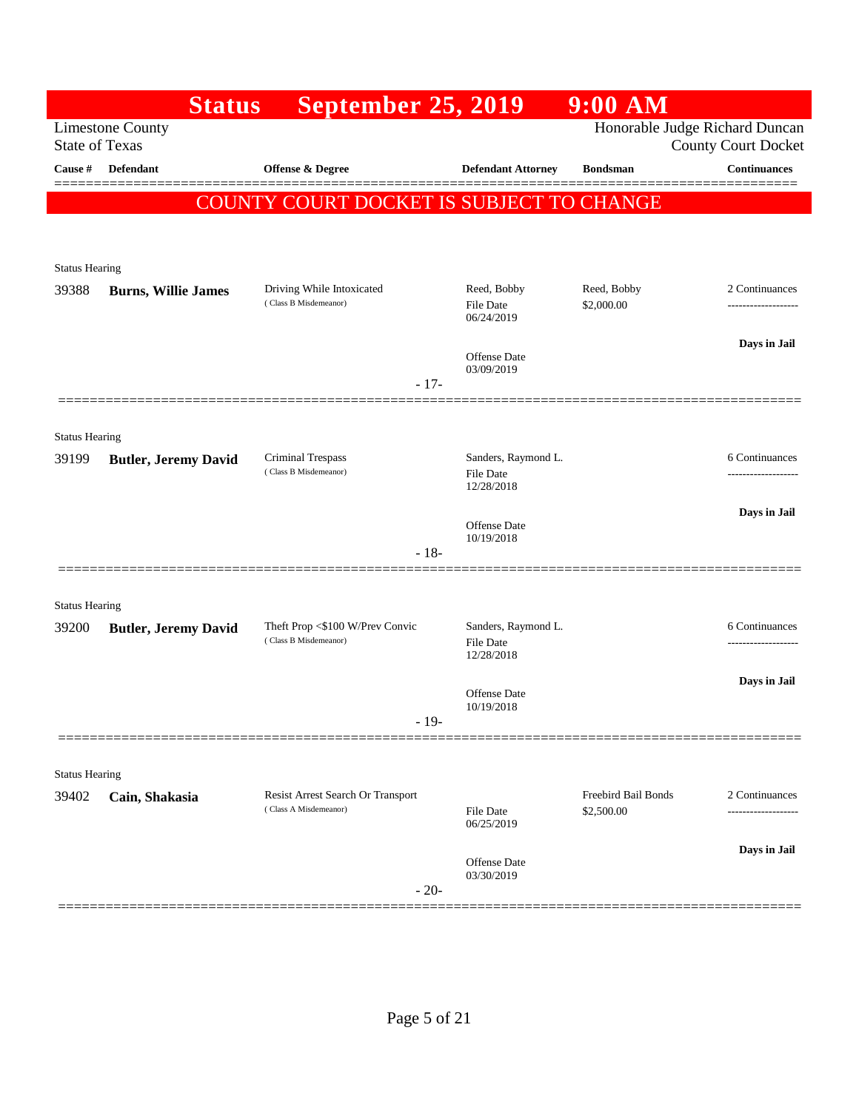|                       | <b>Status</b>               | <b>September 25, 2019</b>                                  |                                                       | $9:00$ AM                         |                                       |
|-----------------------|-----------------------------|------------------------------------------------------------|-------------------------------------------------------|-----------------------------------|---------------------------------------|
| <b>State of Texas</b> | <b>Limestone County</b>     |                                                            |                                                       | Honorable Judge Richard Duncan    | <b>County Court Docket</b>            |
| Cause #               | <b>Defendant</b>            | <b>Offense &amp; Degree</b>                                | <b>Defendant Attorney</b>                             | <b>Bondsman</b>                   | <b>Continuances</b>                   |
|                       |                             | COUNTY COURT DOCKET IS SUBJECT TO CHANGE                   |                                                       |                                   |                                       |
|                       |                             |                                                            |                                                       |                                   |                                       |
| <b>Status Hearing</b> |                             |                                                            |                                                       |                                   |                                       |
| 39388                 | <b>Burns, Willie James</b>  | Driving While Intoxicated<br>(Class B Misdemeanor)         | Reed, Bobby<br><b>File Date</b><br>06/24/2019         | Reed, Bobby<br>\$2,000.00         | 2 Continuances<br>------------------- |
|                       |                             |                                                            | <b>Offense Date</b><br>03/09/2019                     |                                   | Days in Jail                          |
|                       |                             | $-17-$                                                     |                                                       |                                   |                                       |
| <b>Status Hearing</b> |                             |                                                            |                                                       |                                   |                                       |
| 39199                 | <b>Butler, Jeremy David</b> | Criminal Trespass<br>(Class B Misdemeanor)                 | Sanders, Raymond L.<br><b>File Date</b><br>12/28/2018 |                                   | 6 Continuances<br>                    |
|                       |                             |                                                            | <b>Offense Date</b>                                   |                                   | Days in Jail                          |
|                       |                             | $-18-$                                                     | 10/19/2018                                            |                                   |                                       |
|                       |                             |                                                            |                                                       |                                   |                                       |
| <b>Status Hearing</b> |                             |                                                            |                                                       |                                   |                                       |
| 39200                 | <b>Butler, Jeremy David</b> | Theft Prop <\$100 W/Prev Convic<br>(Class B Misdemeanor)   | Sanders, Raymond L.<br>File Date<br>12/28/2018        |                                   | 6 Continuances<br>-----------------   |
|                       |                             |                                                            | Offense Date<br>10/19/2018                            |                                   | Days in Jail                          |
|                       |                             | $-19-$                                                     |                                                       |                                   |                                       |
| <b>Status Hearing</b> |                             |                                                            |                                                       |                                   |                                       |
| 39402                 | Cain, Shakasia              | Resist Arrest Search Or Transport<br>(Class A Misdemeanor) | File Date<br>06/25/2019                               | Freebird Bail Bonds<br>\$2,500.00 | 2 Continuances                        |
|                       |                             |                                                            |                                                       |                                   | Days in Jail                          |
|                       |                             | $-20-$                                                     | Offense Date<br>03/30/2019                            |                                   |                                       |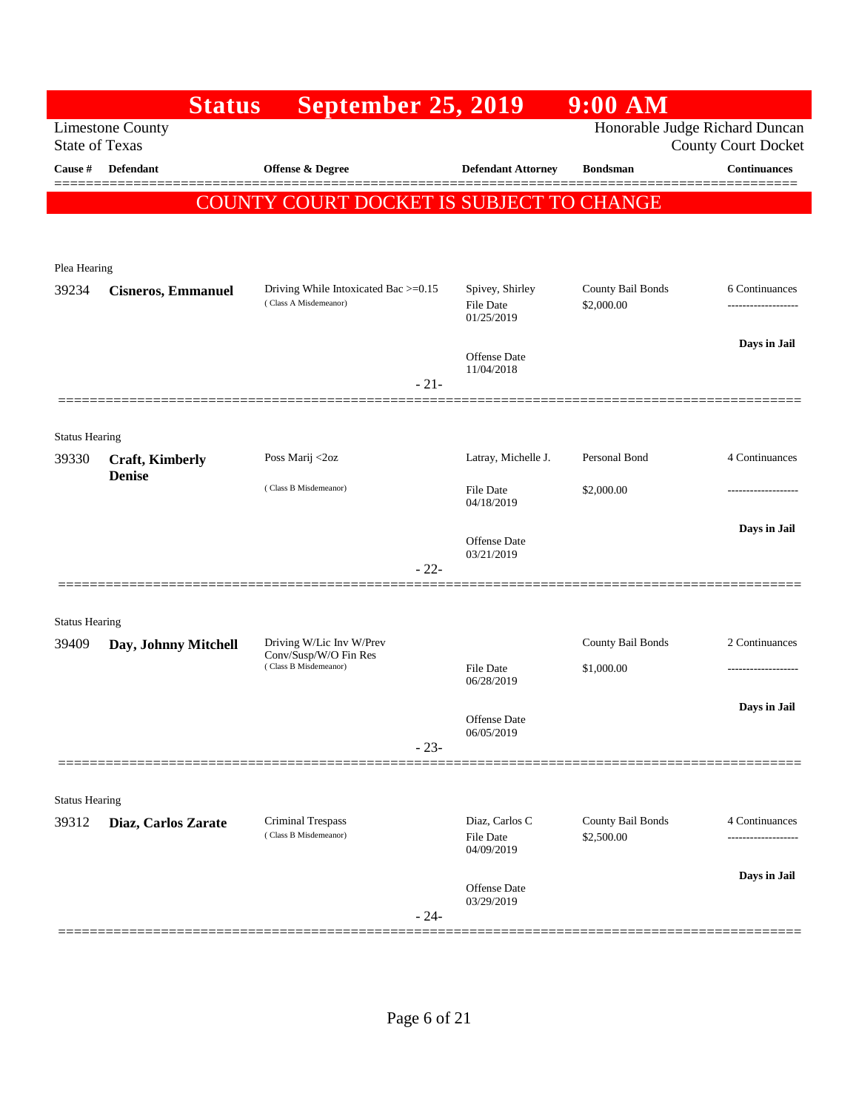|                                | <b>Status</b>             | <b>September 25, 2019</b>                                     |                                   | 9:00 AM                         |                                                              |
|--------------------------------|---------------------------|---------------------------------------------------------------|-----------------------------------|---------------------------------|--------------------------------------------------------------|
| <b>State of Texas</b>          | <b>Limestone County</b>   |                                                               |                                   |                                 | Honorable Judge Richard Duncan<br><b>County Court Docket</b> |
| Cause #                        | Defendant                 | <b>Offense &amp; Degree</b>                                   | <b>Defendant Attorney</b>         | <b>Bondsman</b>                 | <b>Continuances</b>                                          |
|                                |                           | COUNTY COURT DOCKET IS SUBJECT TO CHANGE                      |                                   |                                 | ______                                                       |
|                                |                           |                                                               |                                   |                                 |                                                              |
| Plea Hearing                   |                           |                                                               |                                   |                                 |                                                              |
| 39234                          | <b>Cisneros, Emmanuel</b> | Driving While Intoxicated Bac >=0.15<br>(Class A Misdemeanor) | Spivey, Shirley<br>File Date      | County Bail Bonds<br>\$2,000.00 | 6 Continuances<br>-------------------                        |
|                                |                           |                                                               | 01/25/2019                        |                                 |                                                              |
|                                |                           |                                                               | Offense Date<br>11/04/2018        |                                 | Days in Jail                                                 |
|                                |                           | $-21-$                                                        |                                   |                                 |                                                              |
|                                |                           |                                                               |                                   |                                 |                                                              |
| <b>Status Hearing</b><br>39330 | <b>Craft, Kimberly</b>    | Poss Marij <2oz                                               | Latray, Michelle J.               | Personal Bond                   | 4 Continuances                                               |
|                                | <b>Denise</b>             | (Class B Misdemeanor)                                         | <b>File Date</b>                  | \$2,000.00                      | ---------------                                              |
|                                |                           |                                                               | 04/18/2019                        |                                 |                                                              |
|                                |                           |                                                               | <b>Offense Date</b><br>03/21/2019 |                                 | Days in Jail                                                 |
|                                |                           | $-22-$                                                        |                                   |                                 |                                                              |
|                                |                           |                                                               |                                   |                                 |                                                              |
| <b>Status Hearing</b><br>39409 | Day, Johnny Mitchell      | Driving W/Lic Inv W/Prev                                      |                                   | County Bail Bonds               | 2 Continuances                                               |
|                                |                           | Conv/Susp/W/O Fin Res<br>(Class B Misdemeanor)                | <b>File Date</b><br>06/28/2019    | \$1,000.00                      |                                                              |
|                                |                           |                                                               |                                   |                                 | Days in Jail                                                 |
|                                |                           |                                                               | Offense Date<br>06/05/2019        |                                 |                                                              |
|                                |                           | $-23-$                                                        |                                   |                                 |                                                              |
| <b>Status Hearing</b>          |                           |                                                               |                                   |                                 |                                                              |
| 39312                          | Diaz, Carlos Zarate       | Criminal Trespass                                             | Diaz, Carlos C                    | County Bail Bonds               | 4 Continuances                                               |
|                                |                           | (Class B Misdemeanor)                                         | File Date<br>04/09/2019           | \$2,500.00                      | ------------------                                           |
|                                |                           |                                                               | <b>Offense Date</b>               |                                 | Days in Jail                                                 |
|                                |                           | $-24-$                                                        | 03/29/2019                        |                                 |                                                              |
|                                |                           |                                                               |                                   |                                 |                                                              |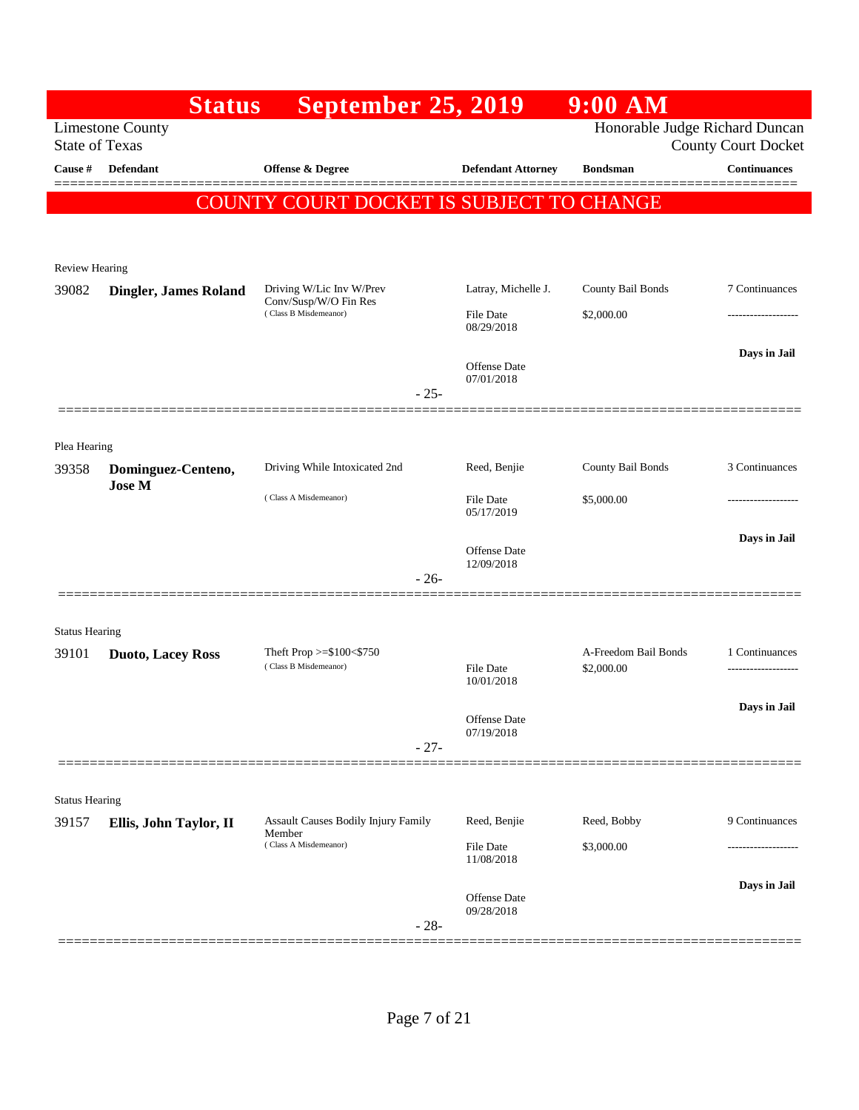|                       | <b>Status</b>                                    | <b>September 25, 2019</b>                                |                                | $9:00$ AM                          |                            |
|-----------------------|--------------------------------------------------|----------------------------------------------------------|--------------------------------|------------------------------------|----------------------------|
|                       | <b>Limestone County</b><br><b>State of Texas</b> |                                                          |                                | Honorable Judge Richard Duncan     | <b>County Court Docket</b> |
| Cause #               | <b>Defendant</b>                                 | <b>Offense &amp; Degree</b>                              | <b>Defendant Attorney</b>      | <b>Bondsman</b>                    | <b>Continuances</b>        |
|                       |                                                  | COUNTY COURT DOCKET IS SUBJECT TO CHANGE                 |                                |                                    |                            |
|                       |                                                  |                                                          |                                |                                    |                            |
| <b>Review Hearing</b> |                                                  |                                                          |                                |                                    |                            |
| 39082                 | <b>Dingler, James Roland</b>                     | Driving W/Lic Inv W/Prev<br>Conv/Susp/W/O Fin Res        | Latray, Michelle J.            | County Bail Bonds                  | 7 Continuances             |
|                       |                                                  | (Class B Misdemeanor)                                    | <b>File Date</b><br>08/29/2018 | \$2,000.00                         |                            |
|                       |                                                  |                                                          | Offense Date                   |                                    | Days in Jail               |
|                       |                                                  | $-25-$                                                   | 07/01/2018                     |                                    |                            |
|                       |                                                  |                                                          |                                |                                    |                            |
| Plea Hearing          |                                                  |                                                          |                                |                                    |                            |
| 39358                 | Dominguez-Centeno,<br><b>Jose M</b>              | Driving While Intoxicated 2nd                            | Reed, Benjie                   | County Bail Bonds                  | 3 Continuances             |
|                       |                                                  | (Class A Misdemeanor)                                    | <b>File Date</b><br>05/17/2019 | \$5,000.00                         | -----------------          |
|                       |                                                  |                                                          | Offense Date                   |                                    | Days in Jail               |
|                       |                                                  | $-26-$                                                   | 12/09/2018                     |                                    |                            |
|                       |                                                  |                                                          |                                |                                    |                            |
| <b>Status Hearing</b> |                                                  |                                                          |                                |                                    |                            |
| 39101                 | <b>Duoto, Lacey Ross</b>                         | Theft Prop $>=$ \$100 $<$ \$750<br>(Class B Misdemeanor) | <b>File Date</b>               | A-Freedom Bail Bonds<br>\$2,000.00 | 1 Continuances             |
|                       |                                                  |                                                          | 10/01/2018                     |                                    | Days in Jail               |
|                       |                                                  |                                                          | Offense Date<br>07/19/2018     |                                    |                            |
|                       |                                                  | $-27-$                                                   |                                |                                    |                            |
| <b>Status Hearing</b> |                                                  |                                                          |                                |                                    |                            |
| 39157                 | Ellis, John Taylor, II                           | <b>Assault Causes Bodily Injury Family</b>               | Reed, Benjie                   | Reed, Bobby                        | 9 Continuances             |
|                       |                                                  | Member<br>(Class A Misdemeanor)                          | File Date<br>11/08/2018        | \$3,000.00                         |                            |
|                       |                                                  |                                                          |                                |                                    | Days in Jail               |
|                       |                                                  |                                                          | Offense Date<br>09/28/2018     |                                    |                            |
|                       |                                                  | $-28-$                                                   |                                |                                    |                            |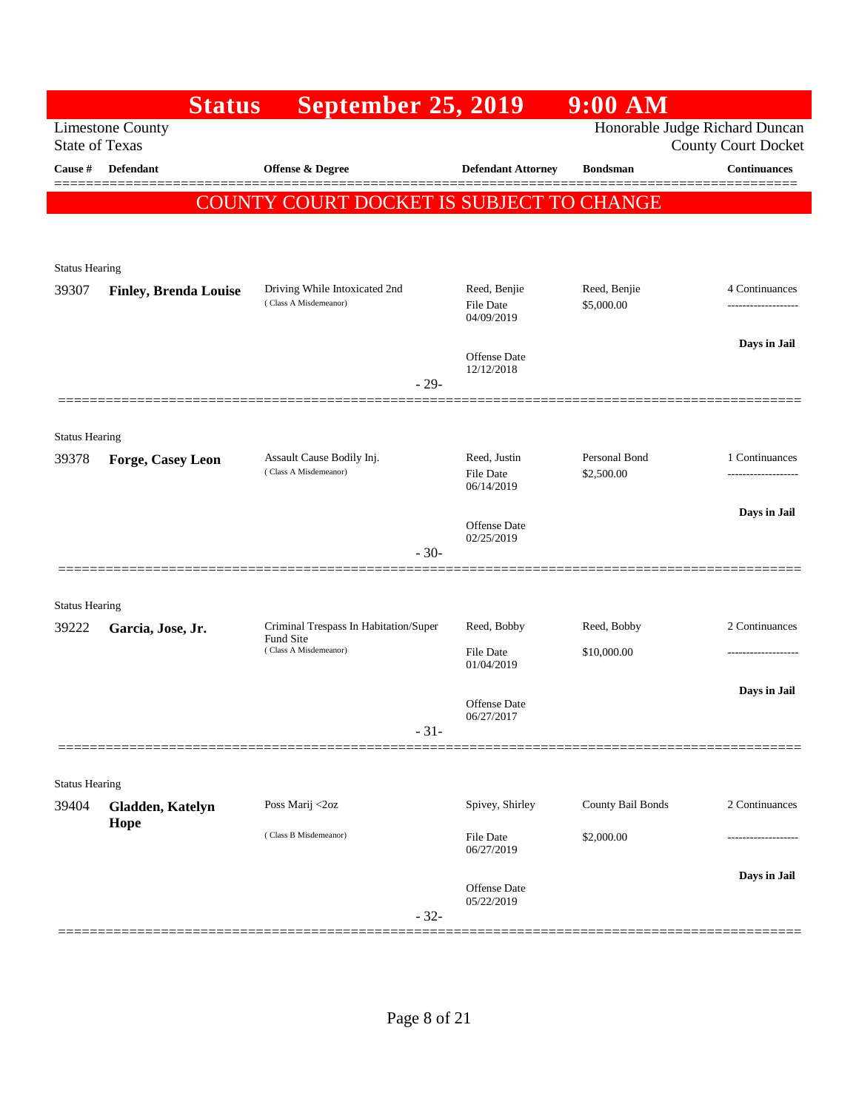|                       | <b>Status</b>                | <b>September 25, 2019</b>                              |                                                | $9:00$ AM                  |                                                              |
|-----------------------|------------------------------|--------------------------------------------------------|------------------------------------------------|----------------------------|--------------------------------------------------------------|
| <b>State of Texas</b> | <b>Limestone County</b>      |                                                        |                                                |                            | Honorable Judge Richard Duncan<br><b>County Court Docket</b> |
| Cause #               | Defendant                    | <b>Offense &amp; Degree</b>                            | <b>Defendant Attorney</b>                      | <b>Bondsman</b>            | <b>Continuances</b>                                          |
|                       | <b>COUN</b>                  | <u>'Y COURT DOCKET IS SUBJECT TO CHANGE</u>            |                                                |                            | =======                                                      |
|                       |                              |                                                        |                                                |                            |                                                              |
| <b>Status Hearing</b> |                              |                                                        |                                                |                            |                                                              |
| 39307                 | <b>Finley, Brenda Louise</b> | Driving While Intoxicated 2nd<br>(Class A Misdemeanor) | Reed, Benjie<br><b>File Date</b><br>04/09/2019 | Reed, Benjie<br>\$5,000.00 | 4 Continuances<br>.                                          |
|                       |                              |                                                        | Offense Date                                   |                            | Days in Jail                                                 |
|                       |                              | $-29-$                                                 | 12/12/2018                                     |                            |                                                              |
|                       |                              |                                                        |                                                |                            |                                                              |
| <b>Status Hearing</b> |                              |                                                        |                                                |                            |                                                              |
| 39378                 | Forge, Casey Leon            | Assault Cause Bodily Inj.<br>(Class A Misdemeanor)     | Reed, Justin                                   | Personal Bond              | 1 Continuances                                               |
|                       |                              |                                                        | <b>File Date</b><br>06/14/2019                 | \$2,500.00                 | ------------------                                           |
|                       |                              |                                                        | Offense Date                                   |                            | Days in Jail                                                 |
|                       |                              | $-30-$                                                 | 02/25/2019                                     |                            |                                                              |
|                       |                              |                                                        |                                                |                            |                                                              |
| <b>Status Hearing</b> |                              |                                                        |                                                |                            |                                                              |
| 39222                 | Garcia, Jose, Jr.            | Criminal Trespass In Habitation/Super<br>Fund Site     | Reed, Bobby                                    | Reed, Bobby                | 2 Continuances                                               |
|                       |                              | (Class A Misdemeanor)                                  | <b>File Date</b><br>01/04/2019                 | \$10,000.00                | ----------------                                             |
|                       |                              |                                                        |                                                |                            | Days in Jail                                                 |
|                       |                              |                                                        | <b>Offense Date</b><br>06/27/2017              |                            |                                                              |
|                       |                              | $-31-$                                                 |                                                |                            |                                                              |
| <b>Status Hearing</b> |                              |                                                        |                                                |                            |                                                              |
| 39404                 | Gladden, Katelyn             | Poss Marij <2oz                                        | Spivey, Shirley                                | County Bail Bonds          | 2 Continuances                                               |
|                       | Hope                         | (Class B Misdemeanor)                                  | File Date<br>06/27/2019                        | \$2,000.00                 |                                                              |
|                       |                              |                                                        |                                                |                            | Days in Jail                                                 |
|                       |                              | $-32-$                                                 | Offense Date<br>05/22/2019                     |                            |                                                              |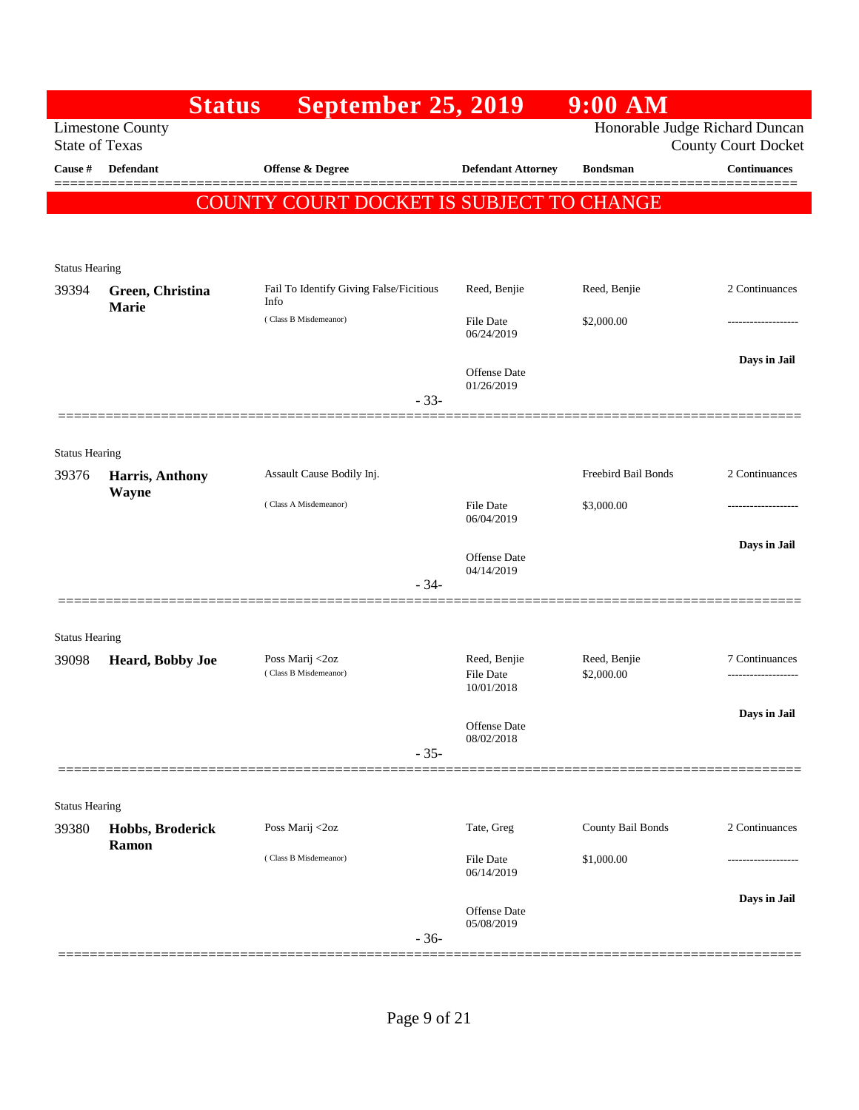|                       | <b>Status</b>           | <b>September 25, 2019</b>                       |                                                | 9:00 AM                        |                                      |
|-----------------------|-------------------------|-------------------------------------------------|------------------------------------------------|--------------------------------|--------------------------------------|
| <b>State of Texas</b> | <b>Limestone County</b> |                                                 |                                                | Honorable Judge Richard Duncan | <b>County Court Docket</b>           |
| Cause #               | <b>Defendant</b>        | Offense & Degree                                | <b>Defendant Attorney</b>                      | <b>Bondsman</b>                | <b>Continuances</b>                  |
|                       |                         | COUNTY COURT DOCKET IS SUBJECT TO CHANGE        |                                                |                                |                                      |
|                       |                         |                                                 |                                                |                                |                                      |
| <b>Status Hearing</b> |                         |                                                 |                                                |                                |                                      |
| 39394                 | Green, Christina        | Fail To Identify Giving False/Ficitious<br>Info | Reed, Benjie                                   | Reed, Benjie                   | 2 Continuances                       |
|                       | Marie                   | (Class B Misdemeanor)                           | File Date<br>06/24/2019                        | \$2,000.00                     | ------------------                   |
|                       |                         |                                                 | <b>Offense Date</b><br>01/26/2019              |                                | Days in Jail                         |
|                       |                         | $-33-$                                          |                                                |                                |                                      |
| <b>Status Hearing</b> |                         |                                                 |                                                |                                |                                      |
| 39376                 | Harris, Anthony         | Assault Cause Bodily Inj.                       |                                                | Freebird Bail Bonds            | 2 Continuances                       |
|                       | Wayne                   | (Class A Misdemeanor)                           | <b>File Date</b><br>06/04/2019                 | \$3,000.00                     |                                      |
|                       |                         |                                                 | <b>Offense Date</b>                            |                                | Days in Jail                         |
|                       |                         | $-34-$                                          | 04/14/2019                                     |                                |                                      |
|                       |                         |                                                 |                                                |                                |                                      |
| <b>Status Hearing</b> |                         |                                                 |                                                |                                |                                      |
| 39098                 | Heard, Bobby Joe        | Poss Marij <2oz<br>(Class B Misdemeanor)        | Reed, Benjie<br><b>File Date</b><br>10/01/2018 | Reed, Benjie<br>\$2,000.00     | 7 Continuances<br>------------------ |
|                       |                         |                                                 | Offense Date<br>08/02/2018                     |                                | Days in Jail                         |
|                       |                         | $-35-$                                          |                                                |                                |                                      |
| <b>Status Hearing</b> |                         |                                                 |                                                |                                |                                      |
| 39380                 | Hobbs, Broderick        | Poss Marij <2oz                                 | Tate, Greg                                     | County Bail Bonds              | 2 Continuances                       |
|                       | Ramon                   | (Class B Misdemeanor)                           | <b>File Date</b><br>06/14/2019                 | \$1,000.00                     |                                      |
|                       |                         | $-36-$                                          | Offense Date<br>05/08/2019                     |                                | Days in Jail                         |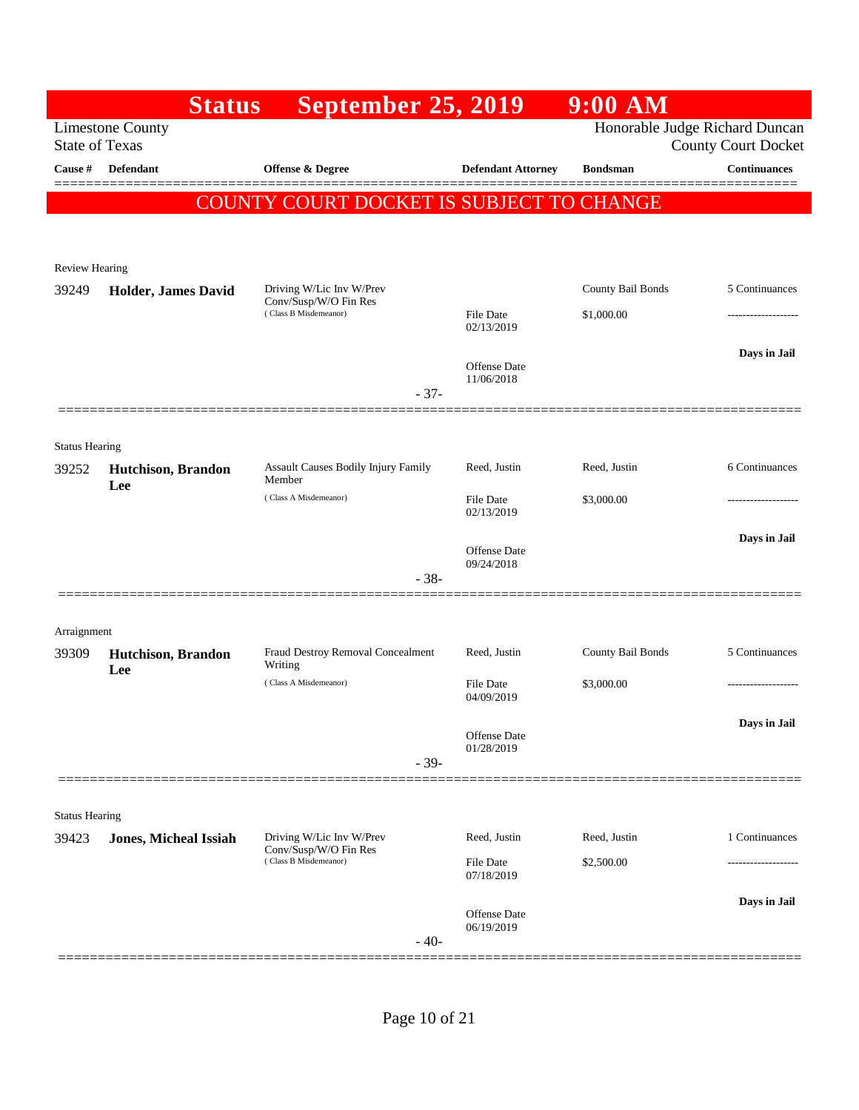|                       | <b>Status</b>                     | <b>September 25, 2019</b>                         |                                   | $9:00$ AM         |                                                              |
|-----------------------|-----------------------------------|---------------------------------------------------|-----------------------------------|-------------------|--------------------------------------------------------------|
| <b>State of Texas</b> | <b>Limestone County</b>           |                                                   |                                   |                   | Honorable Judge Richard Duncan<br><b>County Court Docket</b> |
| Cause #               | <b>Defendant</b>                  | Offense & Degree                                  | <b>Defendant Attorney</b>         | <b>Bondsman</b>   | <b>Continuances</b>                                          |
|                       |                                   | COUNTY COURT DOCKET IS SUBJECT TO CHANGE          |                                   |                   |                                                              |
|                       |                                   |                                                   |                                   |                   |                                                              |
| <b>Review Hearing</b> |                                   |                                                   |                                   |                   |                                                              |
| 39249                 | Holder, James David               | Driving W/Lic Inv W/Prev<br>Conv/Susp/W/O Fin Res |                                   | County Bail Bonds | 5 Continuances                                               |
|                       |                                   | (Class B Misdemeanor)                             | <b>File Date</b><br>02/13/2019    | \$1,000.00        |                                                              |
|                       |                                   |                                                   | <b>Offense Date</b>               |                   | Days in Jail                                                 |
|                       |                                   | $-37-$                                            | 11/06/2018                        |                   |                                                              |
|                       |                                   |                                                   |                                   |                   |                                                              |
| <b>Status Hearing</b> |                                   |                                                   |                                   |                   |                                                              |
| 39252                 | Hutchison, Brandon<br>Lee         | Assault Causes Bodily Injury Family<br>Member     | Reed, Justin                      | Reed, Justin      | 6 Continuances                                               |
|                       |                                   | (Class A Misdemeanor)                             | File Date<br>02/13/2019           | \$3,000.00        |                                                              |
|                       |                                   |                                                   |                                   |                   | Days in Jail                                                 |
|                       |                                   | $-38-$                                            | <b>Offense Date</b><br>09/24/2018 |                   |                                                              |
|                       |                                   |                                                   |                                   |                   |                                                              |
| Arraignment           |                                   |                                                   |                                   |                   |                                                              |
| 39309                 | <b>Hutchison</b> , Brandon<br>Lee | Fraud Destroy Removal Concealment<br>Writing      | Reed, Justin                      | County Bail Bonds | 5 Continuances                                               |
|                       |                                   | (Class A Misdemeanor)                             | File Date<br>04/09/2019           | \$3,000.00        | ------------------                                           |
|                       |                                   |                                                   |                                   |                   | Days in Jail                                                 |
|                       |                                   | $-39-$                                            | <b>Offense Date</b><br>01/28/2019 |                   |                                                              |
|                       |                                   |                                                   |                                   |                   |                                                              |
| <b>Status Hearing</b> |                                   |                                                   |                                   |                   |                                                              |
| 39423                 | <b>Jones, Micheal Issiah</b>      | Driving W/Lic Inv W/Prev<br>Conv/Susp/W/O Fin Res | Reed, Justin                      | Reed, Justin      | 1 Continuances                                               |
|                       |                                   | (Class B Misdemeanor)                             | File Date<br>07/18/2019           | \$2,500.00        |                                                              |
|                       |                                   |                                                   | Offense Date                      |                   | Days in Jail                                                 |
|                       |                                   | $-40-$                                            | 06/19/2019                        |                   |                                                              |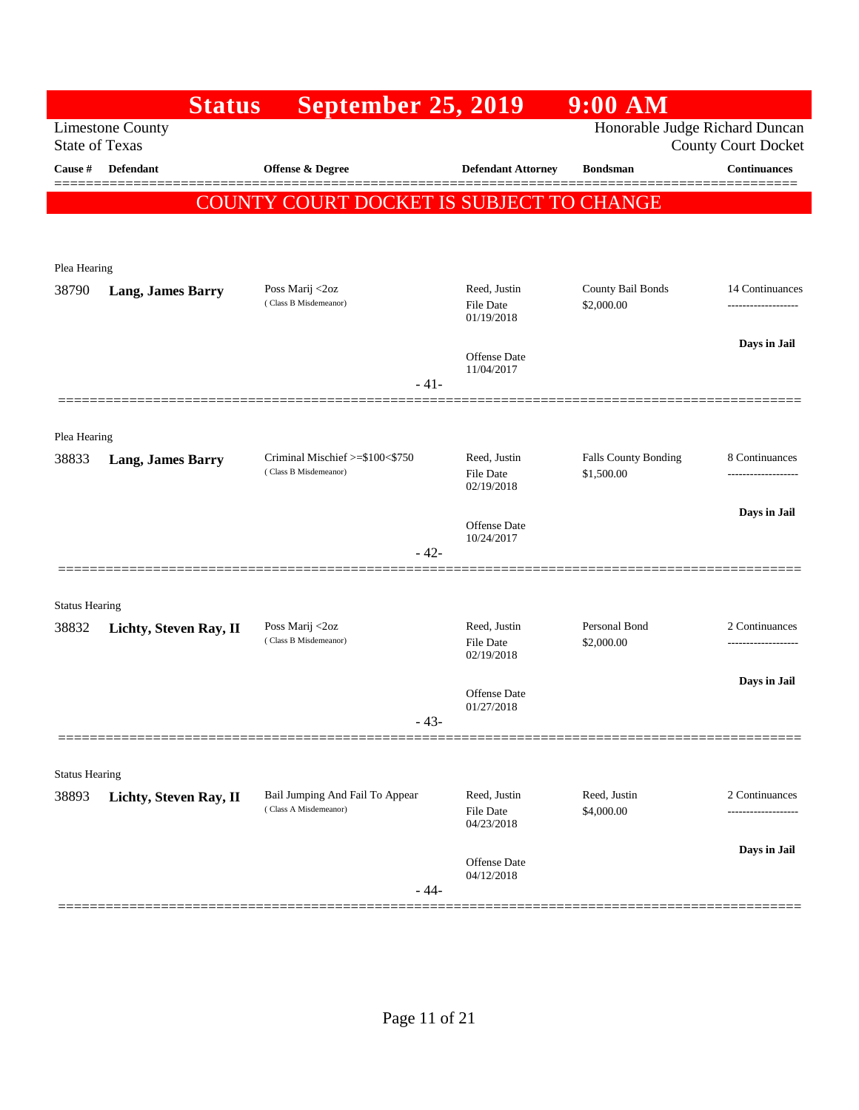|                                                  | <b>September 25, 2019</b><br><b>Status</b>               |                                                                         | $9:00$ AM                                                                                                                              |                                                                                                  |
|--------------------------------------------------|----------------------------------------------------------|-------------------------------------------------------------------------|----------------------------------------------------------------------------------------------------------------------------------------|--------------------------------------------------------------------------------------------------|
| <b>Limestone County</b><br><b>State of Texas</b> |                                                          |                                                                         | Honorable Judge Richard Duncan                                                                                                         | <b>County Court Docket</b>                                                                       |
| <b>Defendant</b>                                 | Offense & Degree                                         | <b>Defendant Attorney</b>                                               | <b>Bondsman</b>                                                                                                                        | <b>Continuances</b>                                                                              |
|                                                  |                                                          |                                                                         |                                                                                                                                        |                                                                                                  |
|                                                  |                                                          |                                                                         |                                                                                                                                        |                                                                                                  |
| Plea Hearing                                     |                                                          |                                                                         |                                                                                                                                        |                                                                                                  |
| <b>Lang, James Barry</b>                         | Poss Marij <2oz                                          | Reed, Justin                                                            | County Bail Bonds                                                                                                                      | 14 Continuances                                                                                  |
|                                                  |                                                          | 01/19/2018                                                              |                                                                                                                                        | -------------------                                                                              |
|                                                  |                                                          |                                                                         |                                                                                                                                        | Days in Jail                                                                                     |
|                                                  |                                                          | 11/04/2017                                                              |                                                                                                                                        |                                                                                                  |
|                                                  |                                                          |                                                                         |                                                                                                                                        |                                                                                                  |
| Plea Hearing                                     |                                                          |                                                                         |                                                                                                                                        |                                                                                                  |
| <b>Lang, James Barry</b>                         | Criminal Mischief >=\$100<\$750                          | Reed, Justin                                                            | <b>Falls County Bonding</b>                                                                                                            | 8 Continuances                                                                                   |
|                                                  |                                                          | 02/19/2018                                                              |                                                                                                                                        | -------------------                                                                              |
|                                                  |                                                          |                                                                         |                                                                                                                                        | Days in Jail                                                                                     |
|                                                  |                                                          | 10/24/2017                                                              |                                                                                                                                        |                                                                                                  |
|                                                  |                                                          |                                                                         |                                                                                                                                        |                                                                                                  |
| <b>Status Hearing</b>                            |                                                          |                                                                         |                                                                                                                                        |                                                                                                  |
| Lichty, Steven Ray, II                           | Poss Marij <2oz                                          | Reed, Justin                                                            | Personal Bond                                                                                                                          | 2 Continuances<br>------------------                                                             |
|                                                  |                                                          | 02/19/2018                                                              |                                                                                                                                        |                                                                                                  |
|                                                  |                                                          | Offense Date                                                            |                                                                                                                                        | Days in Jail                                                                                     |
|                                                  |                                                          | 01/27/2018                                                              |                                                                                                                                        |                                                                                                  |
|                                                  |                                                          |                                                                         |                                                                                                                                        |                                                                                                  |
| <b>Status Hearing</b>                            |                                                          |                                                                         |                                                                                                                                        |                                                                                                  |
| Lichty, Steven Ray, II                           | Bail Jumping And Fail To Appear<br>(Class A Misdemeanor) | Reed, Justin                                                            | Reed, Justin                                                                                                                           | 2 Continuances                                                                                   |
|                                                  |                                                          | 04/23/2018                                                              |                                                                                                                                        |                                                                                                  |
|                                                  |                                                          | Offense Date                                                            |                                                                                                                                        | Days in Jail                                                                                     |
|                                                  |                                                          | 04/12/2018                                                              |                                                                                                                                        |                                                                                                  |
|                                                  |                                                          | (Class B Misdemeanor)<br>(Class B Misdemeanor)<br>(Class B Misdemeanor) | File Date<br><b>Offense Date</b><br>$-41-$<br><b>File Date</b><br>Offense Date<br>$-42-$<br>File Date<br>$-43-$<br>File Date<br>$-44-$ | COUNTY COURT DOCKET IS SUBJECT TO CHANGE<br>\$2,000.00<br>\$1,500.00<br>\$2,000.00<br>\$4,000.00 |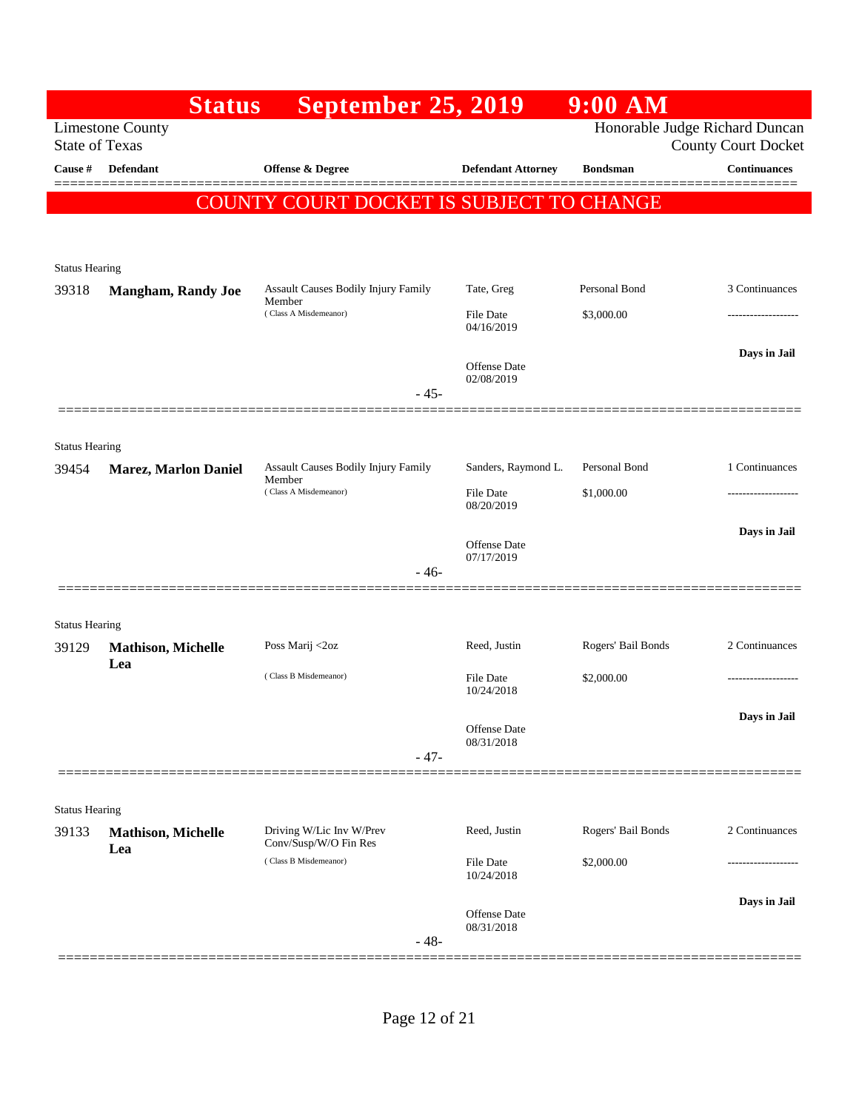|                                | <b>Status</b>                    | <b>September 25, 2019</b>                         |                                | $9:00$ AM          |                                                              |
|--------------------------------|----------------------------------|---------------------------------------------------|--------------------------------|--------------------|--------------------------------------------------------------|
| <b>State of Texas</b>          | <b>Limestone County</b>          |                                                   |                                |                    | Honorable Judge Richard Duncan<br><b>County Court Docket</b> |
| Cause #                        | <b>Defendant</b>                 | Offense & Degree                                  | <b>Defendant Attorney</b>      | <b>Bondsman</b>    | <b>Continuances</b>                                          |
|                                |                                  | COUNTY COURT DOCKET IS SUBJECT TO CHANGE          |                                |                    |                                                              |
|                                |                                  |                                                   |                                |                    |                                                              |
| <b>Status Hearing</b>          |                                  |                                                   |                                |                    |                                                              |
| 39318                          | <b>Mangham, Randy Joe</b>        | Assault Causes Bodily Injury Family<br>Member     | Tate, Greg                     | Personal Bond      | 3 Continuances                                               |
|                                |                                  | (Class A Misdemeanor)                             | <b>File Date</b><br>04/16/2019 | \$3,000.00         | .                                                            |
|                                |                                  |                                                   | Offense Date<br>02/08/2019     |                    | Days in Jail                                                 |
|                                |                                  | $-45-$                                            |                                |                    |                                                              |
|                                |                                  |                                                   |                                |                    |                                                              |
| <b>Status Hearing</b><br>39454 | <b>Marez, Marlon Daniel</b>      | Assault Causes Bodily Injury Family               | Sanders, Raymond L.            | Personal Bond      | 1 Continuances                                               |
|                                |                                  | Member<br>(Class A Misdemeanor)                   | File Date<br>08/20/2019        | \$1,000.00         | .                                                            |
|                                |                                  |                                                   | Offense Date<br>07/17/2019     |                    | Days in Jail                                                 |
|                                |                                  | $-46-$                                            |                                |                    |                                                              |
| <b>Status Hearing</b>          |                                  |                                                   |                                |                    |                                                              |
| 39129                          | <b>Mathison, Michelle</b>        | Poss Marij <2oz                                   | Reed, Justin                   | Rogers' Bail Bonds | 2 Continuances                                               |
|                                | Lea                              | (Class B Misdemeanor)                             | <b>File Date</b><br>10/24/2018 | \$2,000.00         | ------------------                                           |
|                                |                                  |                                                   | Offense Date<br>08/31/2018     |                    | Days in Jail                                                 |
|                                |                                  | $-47-$                                            |                                |                    |                                                              |
| <b>Status Hearing</b>          |                                  |                                                   |                                |                    |                                                              |
| 39133                          | <b>Mathison, Michelle</b><br>Lea | Driving W/Lic Inv W/Prev<br>Conv/Susp/W/O Fin Res | Reed, Justin                   | Rogers' Bail Bonds | 2 Continuances                                               |
|                                |                                  | (Class B Misdemeanor)                             | File Date<br>10/24/2018        | \$2,000.00         |                                                              |
|                                |                                  | $-48-$                                            | Offense Date<br>08/31/2018     |                    | Days in Jail                                                 |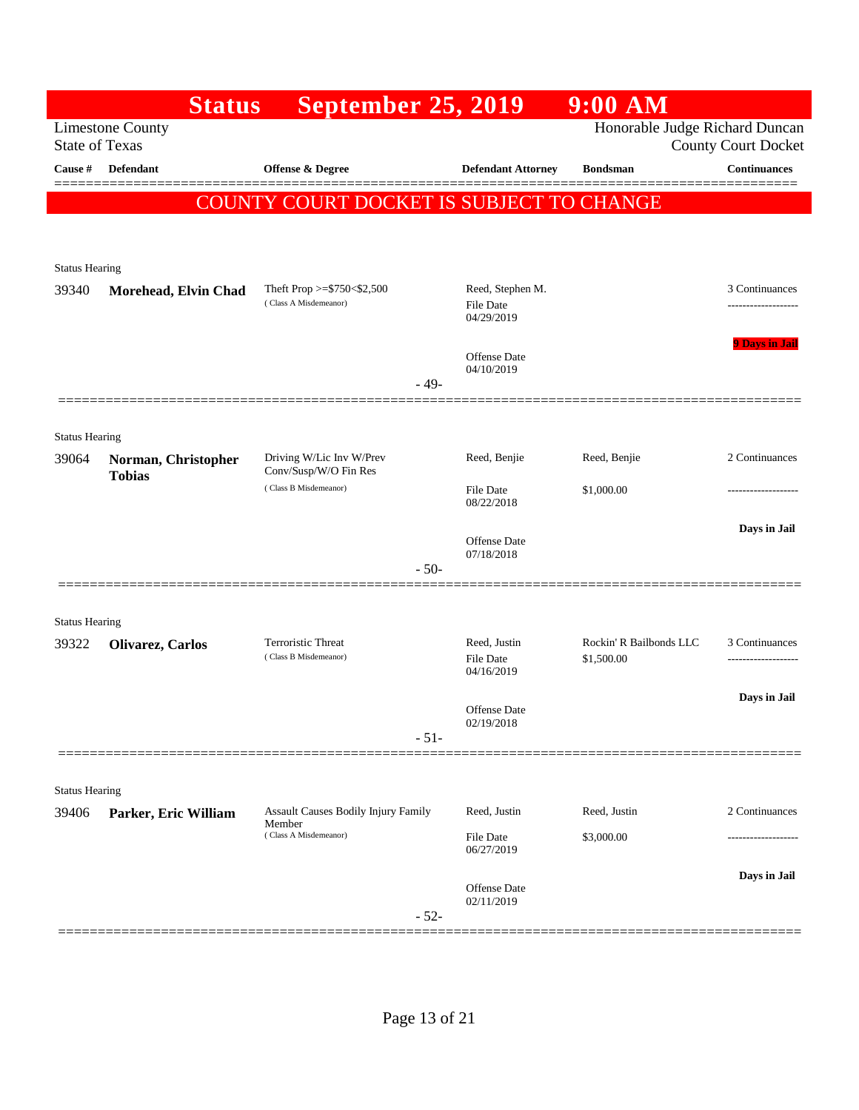|                                | <b>Status</b>                        | <b>September 25, 2019</b>                           |                                                | $9:00$ AM                             |                            |
|--------------------------------|--------------------------------------|-----------------------------------------------------|------------------------------------------------|---------------------------------------|----------------------------|
| <b>State of Texas</b>          | <b>Limestone County</b>              |                                                     |                                                | Honorable Judge Richard Duncan        | <b>County Court Docket</b> |
| Cause #                        | <b>Defendant</b>                     | <b>Offense &amp; Degree</b>                         | <b>Defendant Attorney</b>                      | <b>Bondsman</b>                       | <b>Continuances</b>        |
|                                |                                      | COUNTY COURT DOCKET IS SUBJECT TO CHANGE            |                                                |                                       |                            |
|                                |                                      |                                                     |                                                |                                       |                            |
| Status Hearing                 |                                      |                                                     |                                                |                                       |                            |
| 39340                          | Morehead, Elvin Chad                 | Theft Prop >=\$750<\$2,500<br>(Class A Misdemeanor) | Reed, Stephen M.<br>File Date<br>04/29/2019    |                                       | 3 Continuances<br>         |
|                                |                                      |                                                     | Offense Date<br>04/10/2019<br>$-49-$           |                                       | <b>9 Days in Jail</b>      |
|                                |                                      |                                                     |                                                |                                       |                            |
| <b>Status Hearing</b>          |                                      |                                                     |                                                |                                       |                            |
| 39064                          | Norman, Christopher<br><b>Tobias</b> | Driving W/Lic Inv W/Prev<br>Conv/Susp/W/O Fin Res   | Reed, Benjie                                   | Reed, Benjie                          | 2 Continuances             |
|                                |                                      | (Class B Misdemeanor)                               | File Date<br>08/22/2018                        | \$1,000.00                            | ----------------           |
|                                |                                      |                                                     | Offense Date                                   |                                       | Days in Jail               |
|                                |                                      |                                                     | 07/18/2018<br>$-50-$                           |                                       |                            |
|                                |                                      |                                                     |                                                |                                       |                            |
| <b>Status Hearing</b>          |                                      |                                                     |                                                |                                       |                            |
| 39322                          | Olivarez, Carlos                     | Terroristic Threat<br>(Class B Misdemeanor)         | Reed, Justin<br><b>File Date</b><br>04/16/2019 | Rockin' R Bailbonds LLC<br>\$1,500.00 | 3 Continuances             |
|                                |                                      |                                                     | <b>Offense</b> Date<br>02/19/2018              |                                       | Days in Jail               |
|                                |                                      |                                                     | $-51-$                                         |                                       |                            |
|                                |                                      |                                                     |                                                |                                       |                            |
| <b>Status Hearing</b><br>39406 | Parker, Eric William                 | <b>Assault Causes Bodily Injury Family</b>          | Reed, Justin                                   | Reed, Justin                          | 2 Continuances             |
|                                |                                      | Member<br>(Class A Misdemeanor)                     | <b>File Date</b><br>06/27/2019                 | \$3,000.00                            |                            |
|                                |                                      |                                                     | Offense Date<br>02/11/2019                     |                                       | Days in Jail               |
|                                |                                      |                                                     | $-52-$                                         |                                       |                            |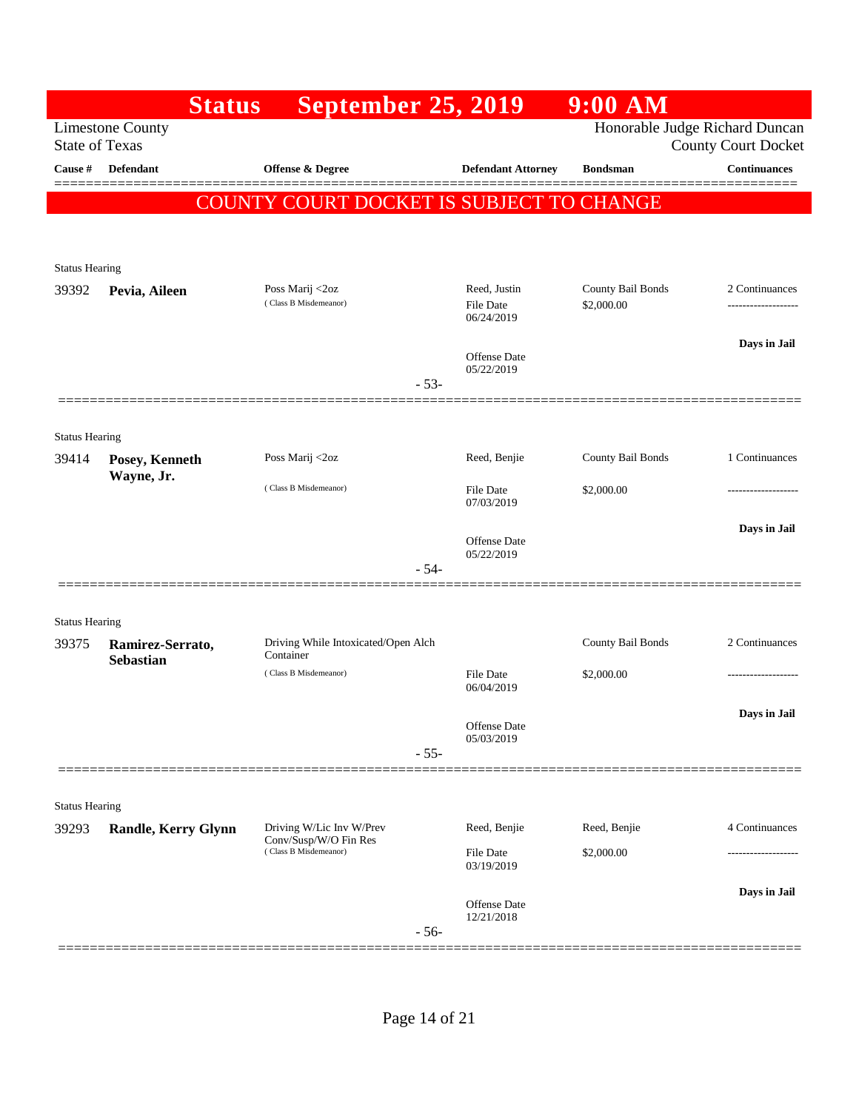|                       | <b>Status</b>                        | <b>September 25, 2019</b>                         |                                  | $9:00$ AM                       |                                       |
|-----------------------|--------------------------------------|---------------------------------------------------|----------------------------------|---------------------------------|---------------------------------------|
| <b>State of Texas</b> | <b>Limestone County</b>              |                                                   |                                  | Honorable Judge Richard Duncan  | <b>County Court Docket</b>            |
| Cause #               | <b>Defendant</b>                     | Offense & Degree                                  | <b>Defendant Attorney</b>        | <b>Bondsman</b>                 | <b>Continuances</b><br>=======        |
|                       | <b>COUN</b>                          | <u>' COURT DOCKET IS SUBJECT TO CHANGE</u>        |                                  |                                 |                                       |
|                       |                                      |                                                   |                                  |                                 |                                       |
| <b>Status Hearing</b> |                                      |                                                   |                                  |                                 |                                       |
| 39392                 | Pevia, Aileen                        | Poss Marij <2oz<br>(Class B Misdemeanor)          | Reed, Justin<br><b>File Date</b> | County Bail Bonds<br>\$2,000.00 | 2 Continuances<br>------------------- |
|                       |                                      |                                                   | 06/24/2019                       |                                 |                                       |
|                       |                                      |                                                   | <b>Offense Date</b>              |                                 | Days in Jail                          |
|                       |                                      | $-53-$                                            | 05/22/2019                       |                                 |                                       |
|                       | ============                         |                                                   |                                  |                                 |                                       |
| <b>Status Hearing</b> |                                      |                                                   |                                  |                                 |                                       |
| 39414                 | Posey, Kenneth<br>Wayne, Jr.         | Poss Marij <2oz                                   | Reed, Benjie                     | County Bail Bonds               | 1 Continuances                        |
|                       |                                      | (Class B Misdemeanor)                             | <b>File Date</b><br>07/03/2019   | \$2,000.00                      | -------------------                   |
|                       |                                      |                                                   | Offense Date                     |                                 | Days in Jail                          |
|                       |                                      | $-54-$                                            | 05/22/2019                       |                                 |                                       |
|                       |                                      |                                                   |                                  |                                 |                                       |
| <b>Status Hearing</b> |                                      |                                                   |                                  |                                 |                                       |
| 39375                 | Ramirez-Serrato,<br><b>Sebastian</b> | Driving While Intoxicated/Open Alch<br>Container  |                                  | County Bail Bonds               | 2 Continuances                        |
|                       |                                      | (Class B Misdemeanor)                             | <b>File Date</b><br>06/04/2019   | \$2,000.00                      | -------------------                   |
|                       |                                      |                                                   | Offense Date                     |                                 | Days in Jail                          |
|                       |                                      | $-55-$                                            | 05/03/2019                       |                                 |                                       |
|                       |                                      |                                                   |                                  |                                 |                                       |
| <b>Status Hearing</b> |                                      |                                                   |                                  |                                 |                                       |
| 39293                 | <b>Randle, Kerry Glynn</b>           | Driving W/Lic Inv W/Prev<br>Conv/Susp/W/O Fin Res | Reed, Benjie                     | Reed, Benjie                    | 4 Continuances                        |
|                       |                                      | (Class B Misdemeanor)                             | File Date<br>03/19/2019          | \$2,000.00                      |                                       |
|                       |                                      |                                                   |                                  |                                 | Days in Jail                          |
|                       |                                      | $-56-$                                            | Offense Date<br>12/21/2018       |                                 |                                       |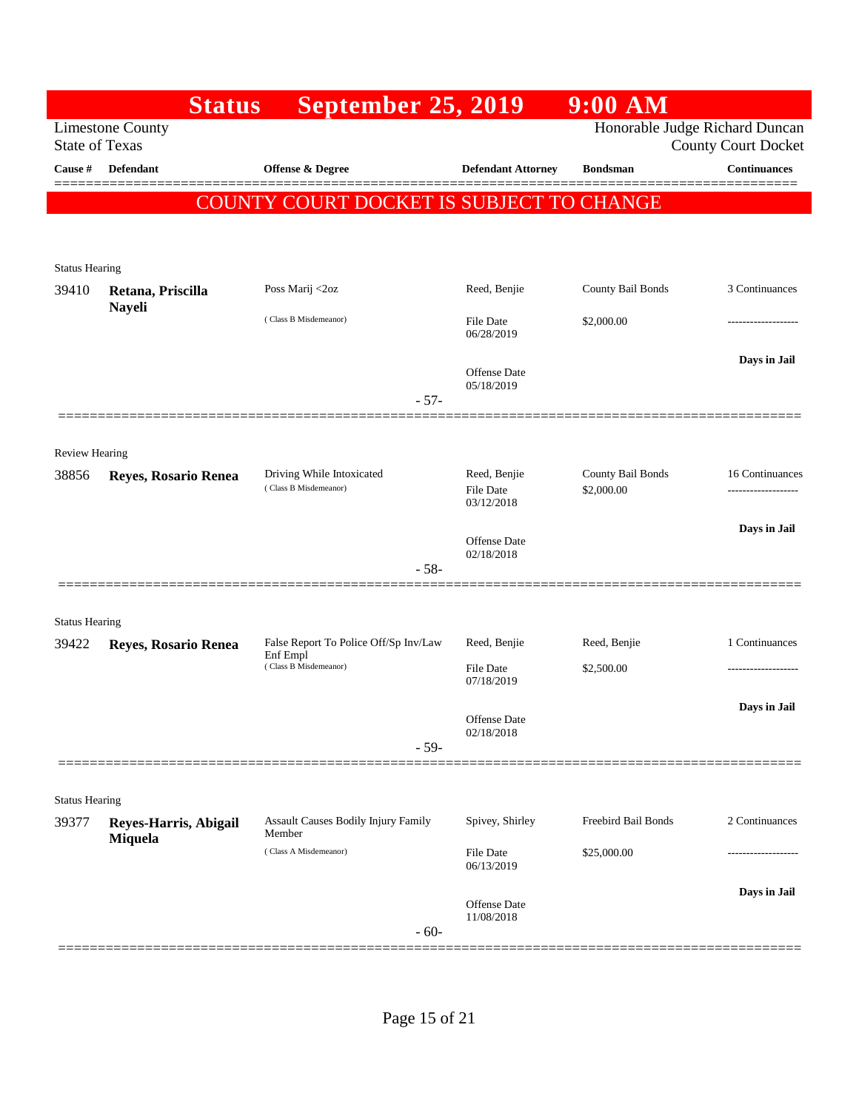|                       | <b>Status</b>           | <b>September 25, 2019</b>                                                  |                                                | $9:00$ AM                       |                                        |
|-----------------------|-------------------------|----------------------------------------------------------------------------|------------------------------------------------|---------------------------------|----------------------------------------|
| <b>State of Texas</b> | <b>Limestone County</b> |                                                                            |                                                | Honorable Judge Richard Duncan  | <b>County Court Docket</b>             |
| Cause #               | <b>Defendant</b>        | <b>Offense &amp; Degree</b>                                                | <b>Defendant Attorney</b>                      | <b>Bondsman</b>                 | <b>Continuances</b>                    |
|                       | <b>COUNT</b>            | 'Y COURT DOCKET IS SUBJECT TO CHANGE                                       |                                                |                                 |                                        |
|                       |                         |                                                                            |                                                |                                 |                                        |
| <b>Status Hearing</b> |                         |                                                                            |                                                |                                 |                                        |
| 39410                 | Retana, Priscilla       | Poss Marij <2oz                                                            | Reed, Benjie                                   | County Bail Bonds               | 3 Continuances                         |
|                       | <b>Nayeli</b>           | (Class B Misdemeanor)                                                      | File Date<br>06/28/2019                        | \$2,000.00                      | ---------------                        |
|                       |                         |                                                                            | <b>Offense</b> Date<br>05/18/2019              |                                 | Days in Jail                           |
|                       |                         | $-57-$                                                                     |                                                |                                 |                                        |
| Review Hearing        |                         |                                                                            |                                                |                                 |                                        |
| 38856                 | Reyes, Rosario Renea    | Driving While Intoxicated<br>(Class B Misdemeanor)                         | Reed, Benjie<br><b>File Date</b><br>03/12/2018 | County Bail Bonds<br>\$2,000.00 | 16 Continuances<br>------------------- |
|                       |                         |                                                                            | <b>Offense</b> Date                            |                                 | Days in Jail                           |
|                       |                         | $-58-$                                                                     | 02/18/2018                                     |                                 |                                        |
|                       |                         |                                                                            |                                                |                                 |                                        |
| <b>Status Hearing</b> |                         |                                                                            |                                                |                                 |                                        |
| 39422                 | Reyes, Rosario Renea    | False Report To Police Off/Sp Inv/Law<br>Enf Empl<br>(Class B Misdemeanor) | Reed, Benjie<br>File Date                      | Reed, Benjie<br>\$2,500.00      | 1 Continuances<br>------------------   |
|                       |                         |                                                                            | 07/18/2019                                     |                                 |                                        |
|                       |                         |                                                                            | Offense Date<br>02/18/2018                     |                                 | Days in Jail                           |
|                       |                         | $-59-$                                                                     |                                                |                                 |                                        |
| <b>Status Hearing</b> |                         |                                                                            |                                                |                                 |                                        |
| 39377                 | Reyes-Harris, Abigail   | Assault Causes Bodily Injury Family<br>Member                              | Spivey, Shirley                                | Freebird Bail Bonds             | 2 Continuances                         |
|                       | Miquela                 | (Class A Misdemeanor)                                                      | File Date<br>06/13/2019                        | \$25,000.00                     |                                        |
|                       |                         |                                                                            | <b>Offense</b> Date                            |                                 | Days in Jail                           |
|                       |                         | $-60-$                                                                     | 11/08/2018                                     |                                 |                                        |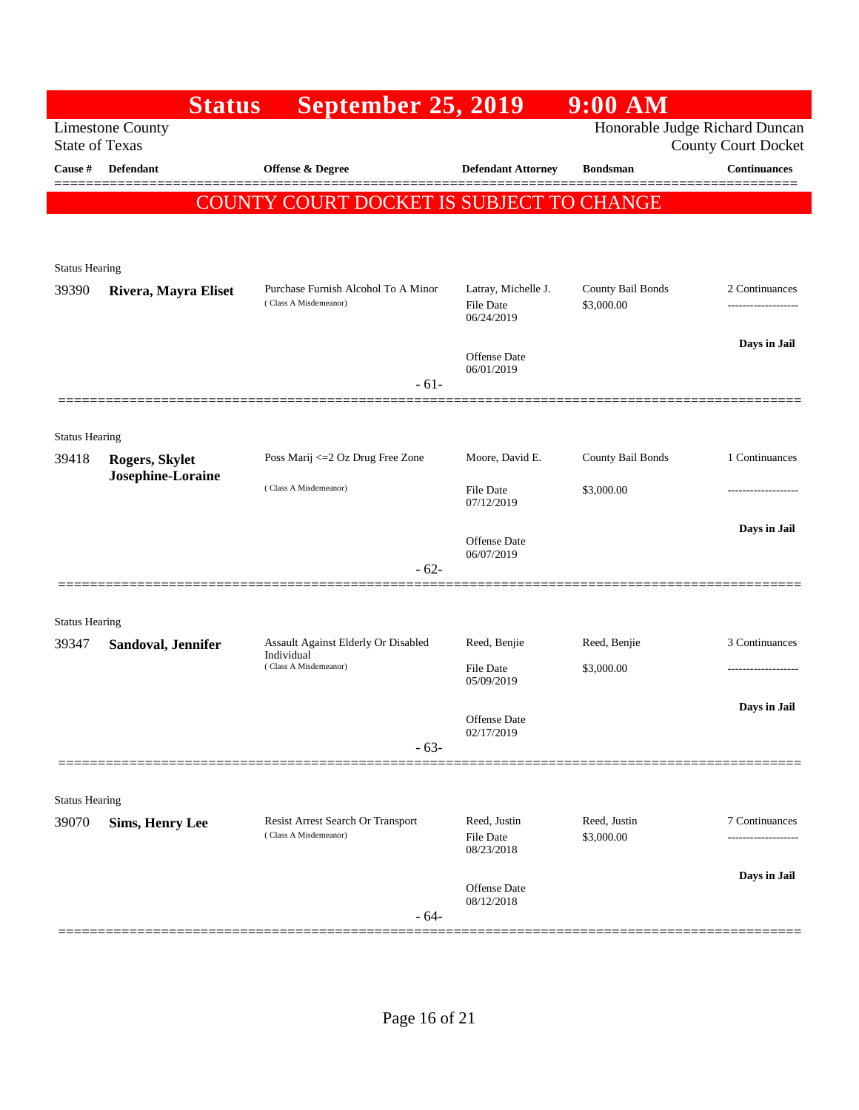|                                | <b>Status</b>           | <b>September 25, 2019</b>                                    |                                                       | $9:00$ AM                       |                                      |
|--------------------------------|-------------------------|--------------------------------------------------------------|-------------------------------------------------------|---------------------------------|--------------------------------------|
| <b>State of Texas</b>          | <b>Limestone County</b> |                                                              |                                                       | Honorable Judge Richard Duncan  | <b>County Court Docket</b>           |
| Cause #                        | <b>Defendant</b>        | Offense & Degree                                             | <b>Defendant Attorney</b>                             | <b>Bondsman</b>                 | <b>Continuances</b>                  |
|                                |                         | COUNTY COURT DOCKET IS SUBJECT TO CHANGE                     |                                                       |                                 |                                      |
|                                |                         |                                                              |                                                       |                                 |                                      |
| <b>Status Hearing</b>          |                         |                                                              |                                                       |                                 |                                      |
| 39390                          | Rivera, Mayra Eliset    | Purchase Furnish Alcohol To A Minor<br>(Class A Misdemeanor) | Latray, Michelle J.<br><b>File Date</b><br>06/24/2019 | County Bail Bonds<br>\$3,000.00 | 2 Continuances<br>------------------ |
|                                |                         |                                                              | Offense Date<br>06/01/2019                            |                                 | Days in Jail                         |
|                                |                         | $-61-$                                                       |                                                       |                                 |                                      |
| <b>Status Hearing</b>          |                         |                                                              |                                                       |                                 |                                      |
| 39418                          | Rogers, Skylet          | Poss Marij <= 2 Oz Drug Free Zone                            | Moore, David E.                                       | County Bail Bonds               | 1 Continuances                       |
|                                | Josephine-Loraine       | (Class A Misdemeanor)                                        | File Date<br>07/12/2019                               | \$3,000.00                      | ------------------                   |
|                                |                         |                                                              | Offense Date                                          |                                 | Days in Jail                         |
|                                |                         | $-62-$                                                       | 06/07/2019                                            |                                 |                                      |
|                                |                         |                                                              |                                                       |                                 |                                      |
| <b>Status Hearing</b><br>39347 | Sandoval, Jennifer      | Assault Against Elderly Or Disabled                          | Reed, Benjie                                          | Reed, Benjie                    | 3 Continuances                       |
|                                |                         | Individual<br>(Class A Misdemeanor)                          | <b>File Date</b>                                      | \$3,000.00                      |                                      |
|                                |                         |                                                              | 05/09/2019                                            |                                 | Days in Jail                         |
|                                |                         |                                                              | Offense Date<br>02/17/2019                            |                                 |                                      |
|                                |                         | $-63-$                                                       |                                                       |                                 |                                      |
| <b>Status Hearing</b>          |                         |                                                              |                                                       |                                 |                                      |
| 39070                          | <b>Sims, Henry Lee</b>  | Resist Arrest Search Or Transport<br>(Class A Misdemeanor)   | Reed, Justin<br>File Date<br>08/23/2018               | Reed, Justin<br>\$3,000.00      | 7 Continuances<br>.                  |
|                                |                         | $-64-$                                                       | Offense Date<br>08/12/2018                            |                                 | Days in Jail                         |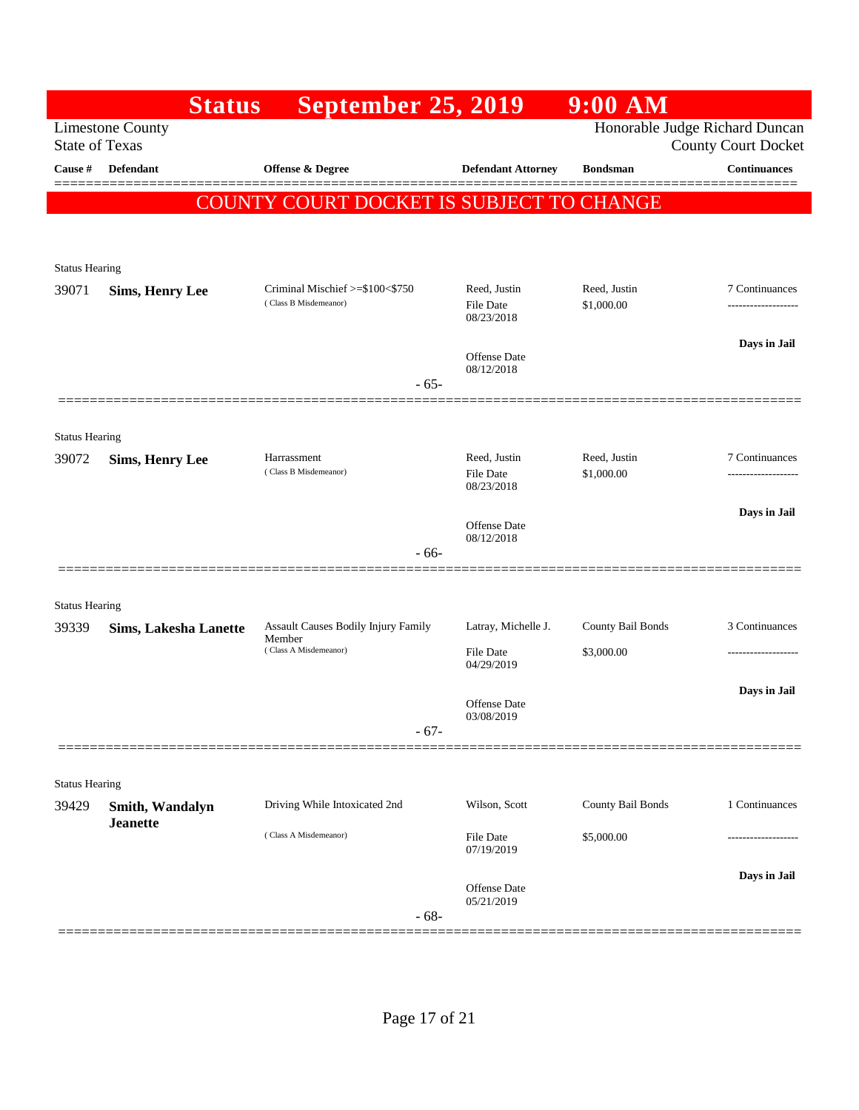|                       | <b>Status</b>                | <b>September 25, 2019</b>                                |                                         | $9:00$ AM                  |                                                              |
|-----------------------|------------------------------|----------------------------------------------------------|-----------------------------------------|----------------------------|--------------------------------------------------------------|
| <b>State of Texas</b> | <b>Limestone County</b>      |                                                          |                                         |                            | Honorable Judge Richard Duncan<br><b>County Court Docket</b> |
| Cause #               | <b>Defendant</b>             | <b>Offense &amp; Degree</b>                              | <b>Defendant Attorney</b>               | <b>Bondsman</b>            | <b>Continuances</b>                                          |
|                       | <b>COUN</b>                  | <u>'Y COURT DOCKET IS SUBJECT TO CHANGE</u>              |                                         |                            | =======                                                      |
|                       |                              |                                                          |                                         |                            |                                                              |
| <b>Status Hearing</b> |                              |                                                          |                                         |                            |                                                              |
| 39071                 | <b>Sims, Henry Lee</b>       | Criminal Mischief >=\$100<\$750<br>(Class B Misdemeanor) | Reed, Justin<br>File Date<br>08/23/2018 | Reed, Justin<br>\$1,000.00 | 7 Continuances<br>----------------                           |
|                       |                              |                                                          | Offense Date                            |                            | Days in Jail                                                 |
|                       |                              | $-65-$                                                   | 08/12/2018                              |                            |                                                              |
|                       |                              |                                                          |                                         |                            |                                                              |
| <b>Status Hearing</b> |                              |                                                          |                                         |                            |                                                              |
| 39072                 | <b>Sims, Henry Lee</b>       | Harrassment<br>(Class B Misdemeanor)                     | Reed, Justin<br><b>File Date</b>        | Reed, Justin<br>\$1,000.00 | 7 Continuances<br>------------------                         |
|                       |                              |                                                          | 08/23/2018                              |                            |                                                              |
|                       |                              |                                                          | Offense Date                            |                            | Days in Jail                                                 |
|                       |                              | $-66-$                                                   | 08/12/2018                              |                            |                                                              |
|                       |                              |                                                          |                                         |                            |                                                              |
| <b>Status Hearing</b> |                              |                                                          |                                         |                            |                                                              |
| 39339                 | <b>Sims, Lakesha Lanette</b> | Assault Causes Bodily Injury Family<br>Member            | Latray, Michelle J.                     | County Bail Bonds          | 3 Continuances                                               |
|                       |                              | (Class A Misdemeanor)                                    | <b>File Date</b><br>04/29/2019          | \$3,000.00                 |                                                              |
|                       |                              |                                                          |                                         |                            | Days in Jail                                                 |
|                       |                              |                                                          | <b>Offense Date</b><br>03/08/2019       |                            |                                                              |
|                       |                              | $-67-$                                                   |                                         |                            |                                                              |
| <b>Status Hearing</b> |                              |                                                          |                                         |                            |                                                              |
| 39429                 | Smith, Wandalyn              | Driving While Intoxicated 2nd                            | Wilson, Scott                           | County Bail Bonds          | 1 Continuances                                               |
|                       | <b>Jeanette</b>              | (Class A Misdemeanor)                                    | File Date<br>07/19/2019                 | \$5,000.00                 |                                                              |
|                       |                              |                                                          |                                         |                            | Days in Jail                                                 |
|                       |                              | $-68-$                                                   | Offense Date<br>05/21/2019              |                            |                                                              |
|                       |                              |                                                          |                                         |                            |                                                              |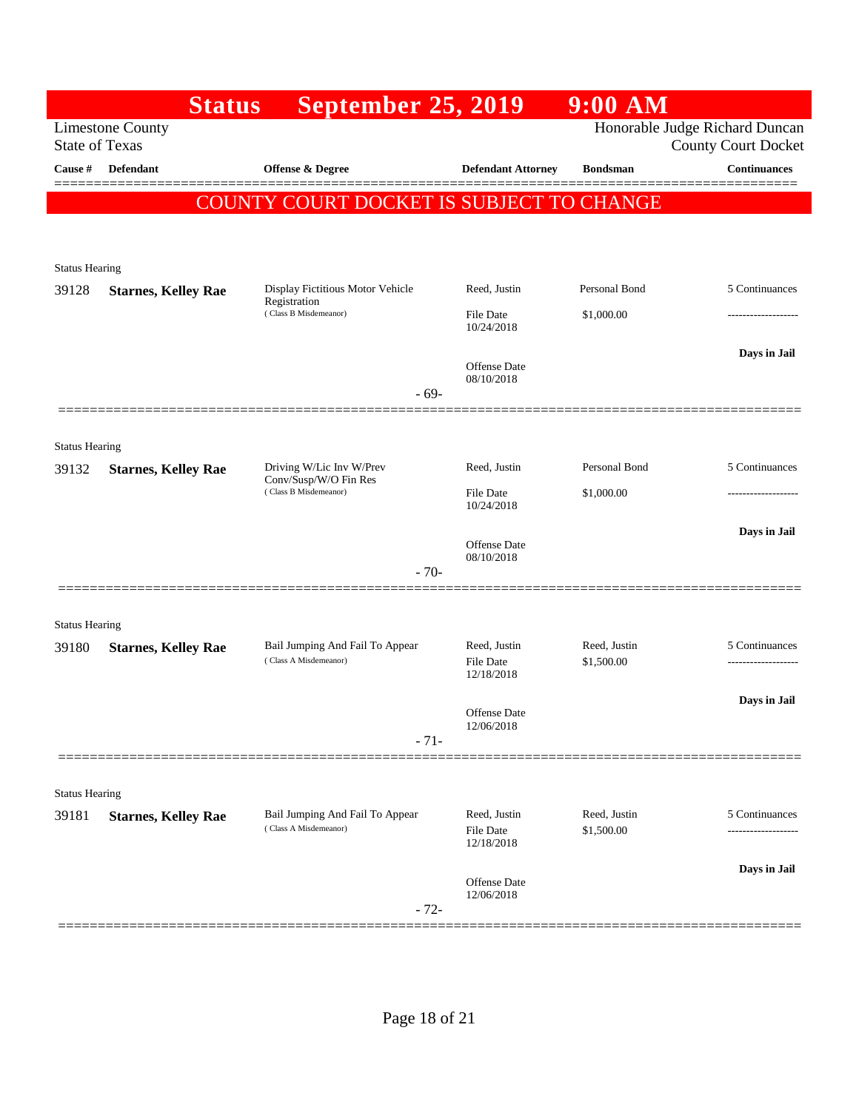|                                | <b>Status</b>              | <b>September 25, 2019</b>                                |                                                | 9:00 AM                    |                                                              |
|--------------------------------|----------------------------|----------------------------------------------------------|------------------------------------------------|----------------------------|--------------------------------------------------------------|
| <b>State of Texas</b>          | <b>Limestone County</b>    |                                                          |                                                |                            | Honorable Judge Richard Duncan<br><b>County Court Docket</b> |
| Cause #                        | <b>Defendant</b>           | Offense & Degree                                         | <b>Defendant Attorney</b>                      | <b>Bondsman</b>            | <b>Continuances</b>                                          |
|                                |                            | COUNTY COURT DOCKET IS SUBJECT TO CHANGE                 |                                                |                            |                                                              |
|                                |                            |                                                          |                                                |                            |                                                              |
| <b>Status Hearing</b>          |                            |                                                          |                                                |                            |                                                              |
| 39128                          | <b>Starnes, Kelley Rae</b> | Display Fictitious Motor Vehicle<br>Registration         | Reed, Justin                                   | Personal Bond              | 5 Continuances                                               |
|                                |                            | (Class B Misdemeanor)                                    | <b>File Date</b><br>10/24/2018                 | \$1,000.00                 | .                                                            |
|                                |                            |                                                          | Offense Date<br>08/10/2018                     |                            | Days in Jail                                                 |
|                                |                            | $-69-$                                                   |                                                |                            |                                                              |
|                                |                            |                                                          |                                                |                            |                                                              |
| <b>Status Hearing</b><br>39132 | <b>Starnes, Kelley Rae</b> | Driving W/Lic Inv W/Prev                                 | Reed, Justin                                   | Personal Bond              | 5 Continuances                                               |
|                                |                            | Conv/Susp/W/O Fin Res<br>(Class B Misdemeanor)           | <b>File Date</b><br>10/24/2018                 | \$1,000.00                 |                                                              |
|                                |                            |                                                          |                                                |                            | Days in Jail                                                 |
|                                |                            |                                                          | Offense Date<br>08/10/2018                     |                            |                                                              |
|                                |                            | $-70-$                                                   |                                                |                            |                                                              |
| <b>Status Hearing</b>          |                            |                                                          |                                                |                            |                                                              |
| 39180                          | <b>Starnes, Kelley Rae</b> | Bail Jumping And Fail To Appear<br>(Class A Misdemeanor) | Reed, Justin                                   | Reed, Justin               | 5 Continuances                                               |
|                                |                            |                                                          | <b>File Date</b><br>12/18/2018                 | \$1,500.00                 |                                                              |
|                                |                            |                                                          | Offense Date                                   |                            | Days in Jail                                                 |
|                                |                            | $-71-$                                                   | 12/06/2018                                     |                            |                                                              |
|                                |                            |                                                          |                                                |                            |                                                              |
| <b>Status Hearing</b>          |                            |                                                          |                                                |                            |                                                              |
| 39181                          | <b>Starnes, Kelley Rae</b> | Bail Jumping And Fail To Appear<br>(Class A Misdemeanor) | Reed, Justin<br><b>File Date</b><br>12/18/2018 | Reed, Justin<br>\$1,500.00 | 5 Continuances                                               |
|                                |                            |                                                          |                                                |                            | Days in Jail                                                 |
|                                |                            | $-72-$                                                   | Offense Date<br>12/06/2018                     |                            |                                                              |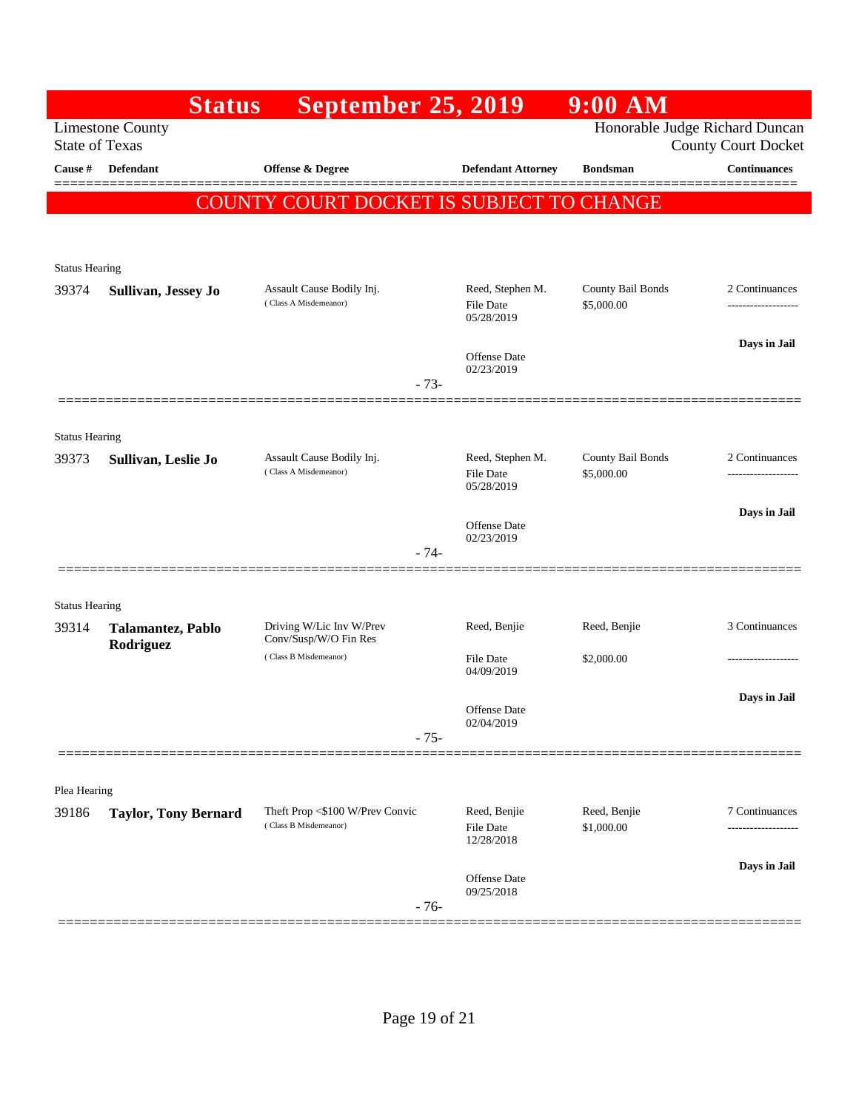|                       | <b>Status</b>                  | <b>September 25, 2019</b>                                |                                             | $9:00$ AM                       |                                       |
|-----------------------|--------------------------------|----------------------------------------------------------|---------------------------------------------|---------------------------------|---------------------------------------|
| <b>State of Texas</b> | <b>Limestone County</b>        |                                                          |                                             | Honorable Judge Richard Duncan  | <b>County Court Docket</b>            |
| Cause #               | <b>Defendant</b>               | <b>Offense &amp; Degree</b>                              | <b>Defendant Attorney</b>                   | <b>Bondsman</b>                 | <b>Continuances</b>                   |
|                       |                                | COUNTY COURT DOCKET IS SUBJECT TO CHANGE                 |                                             |                                 |                                       |
|                       |                                |                                                          |                                             |                                 |                                       |
| <b>Status Hearing</b> |                                |                                                          |                                             |                                 |                                       |
| 39374                 | Sullivan, Jessey Jo            | Assault Cause Bodily Inj.<br>(Class A Misdemeanor)       | Reed, Stephen M.<br>File Date<br>05/28/2019 | County Bail Bonds<br>\$5,000.00 | 2 Continuances<br>------------------- |
|                       |                                |                                                          | Offense Date<br>02/23/2019                  |                                 | Days in Jail                          |
|                       |                                | $-73-$                                                   |                                             |                                 |                                       |
| <b>Status Hearing</b> |                                |                                                          |                                             |                                 |                                       |
| 39373                 | Sullivan, Leslie Jo            | Assault Cause Bodily Inj.<br>(Class A Misdemeanor)       | Reed, Stephen M.<br>File Date<br>05/28/2019 | County Bail Bonds<br>\$5,000.00 | 2 Continuances<br>------------------- |
|                       |                                |                                                          | <b>Offense Date</b><br>02/23/2019           |                                 | Days in Jail                          |
|                       |                                | - 74-                                                    |                                             |                                 |                                       |
| <b>Status Hearing</b> |                                |                                                          |                                             |                                 |                                       |
| 39314                 | Talamantez, Pablo<br>Rodriguez | Driving W/Lic Inv W/Prev<br>Conv/Susp/W/O Fin Res        | Reed, Benjie                                | Reed, Benjie                    | 3 Continuances                        |
|                       |                                | (Class B Misdemeanor)                                    | <b>File Date</b><br>04/09/2019              | \$2,000.00                      | -------------------                   |
|                       |                                |                                                          | <b>Offense Date</b><br>02/04/2019           |                                 | Days in Jail                          |
|                       |                                | $-75-$                                                   |                                             |                                 |                                       |
| Plea Hearing          |                                |                                                          |                                             |                                 |                                       |
| 39186                 | <b>Taylor, Tony Bernard</b>    | Theft Prop <\$100 W/Prev Convic<br>(Class B Misdemeanor) | Reed, Benjie<br>File Date<br>12/28/2018     | Reed, Benjie<br>\$1,000.00      | 7 Continuances                        |
|                       |                                | $-76-$                                                   | Offense Date<br>09/25/2018                  |                                 | Days in Jail                          |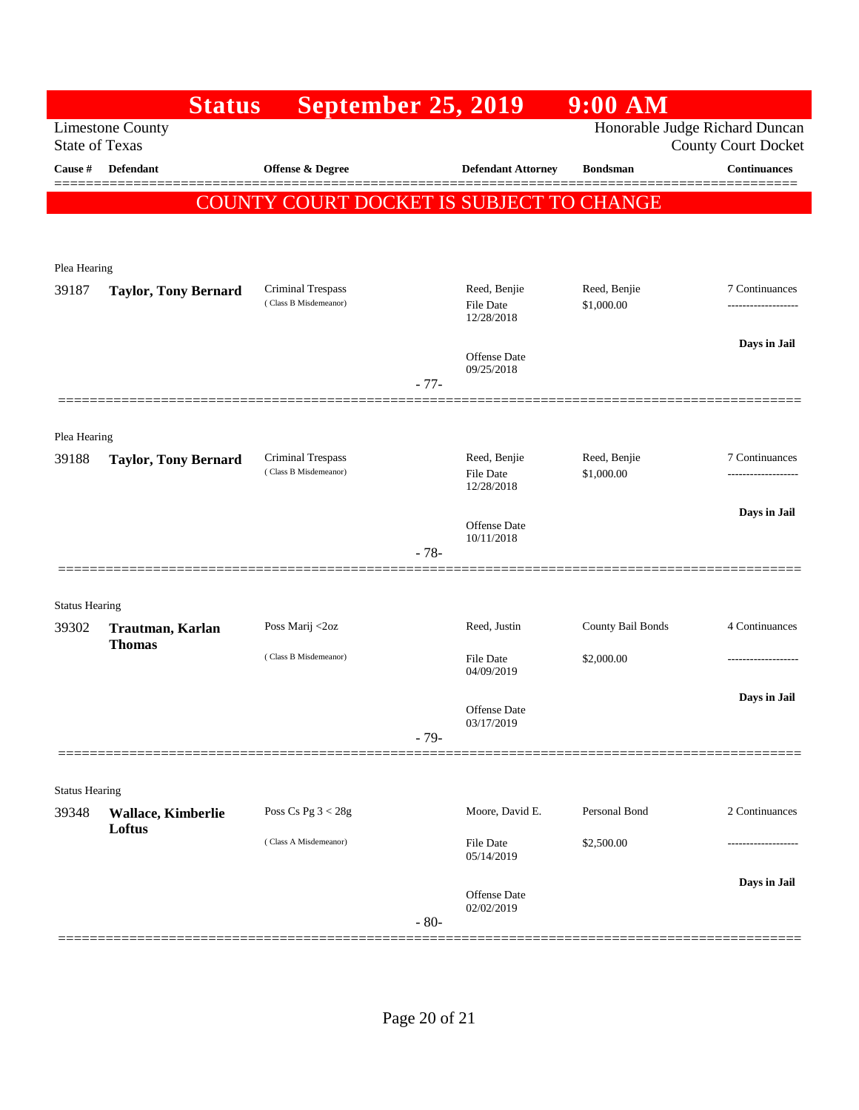|                                | <b>Status</b>               | <b>September 25, 2019</b>                  |        |                                   | 9:00 AM                    |                                                              |
|--------------------------------|-----------------------------|--------------------------------------------|--------|-----------------------------------|----------------------------|--------------------------------------------------------------|
| <b>State of Texas</b>          | <b>Limestone County</b>     |                                            |        |                                   |                            | Honorable Judge Richard Duncan<br><b>County Court Docket</b> |
| Cause #                        | <b>Defendant</b>            | <b>Offense &amp; Degree</b>                |        | <b>Defendant Attorney</b>         | <b>Bondsman</b>            | <b>Continuances</b>                                          |
|                                | <b>COUNT</b>                | <u>Y COURT DOCKET IS SUBJECT TO CHANGE</u> |        |                                   |                            | ========                                                     |
|                                |                             |                                            |        |                                   |                            |                                                              |
| Plea Hearing                   |                             |                                            |        |                                   |                            |                                                              |
| 39187                          | <b>Taylor, Tony Bernard</b> | Criminal Trespass<br>(Class B Misdemeanor) |        | Reed, Benjie                      | Reed, Benjie               | 7 Continuances                                               |
|                                |                             |                                            |        | <b>File Date</b><br>12/28/2018    | \$1,000.00                 | .                                                            |
|                                |                             |                                            |        | Offense Date                      |                            | Days in Jail                                                 |
|                                |                             |                                            | $-77-$ | 09/25/2018                        |                            |                                                              |
|                                | =============               |                                            |        |                                   |                            |                                                              |
| Plea Hearing                   |                             |                                            |        |                                   |                            |                                                              |
| 39188                          | <b>Taylor, Tony Bernard</b> | Criminal Trespass<br>(Class B Misdemeanor) |        | Reed, Benjie<br><b>File Date</b>  | Reed, Benjie<br>\$1,000.00 | 7 Continuances<br>.                                          |
|                                |                             |                                            |        | 12/28/2018                        |                            | Days in Jail                                                 |
|                                |                             |                                            |        | Offense Date<br>10/11/2018        |                            |                                                              |
|                                |                             |                                            | $-78-$ |                                   |                            |                                                              |
|                                |                             |                                            |        |                                   |                            |                                                              |
| <b>Status Hearing</b><br>39302 | Trautman, Karlan            | Poss Marij <2oz                            |        | Reed, Justin                      | County Bail Bonds          | 4 Continuances                                               |
|                                | <b>Thomas</b>               | (Class B Misdemeanor)                      |        | <b>File Date</b>                  | \$2,000.00                 | .                                                            |
|                                |                             |                                            |        | 04/09/2019                        |                            |                                                              |
|                                |                             |                                            |        | <b>Offense Date</b><br>03/17/2019 |                            | Days in Jail                                                 |
|                                |                             |                                            | $-79-$ |                                   |                            |                                                              |
|                                |                             |                                            |        |                                   |                            |                                                              |
| <b>Status Hearing</b><br>39348 | Wallace, Kimberlie          | Poss Cs Pg $3 < 28g$                       |        | Moore, David E.                   | Personal Bond              | 2 Continuances                                               |
|                                | Loftus                      | (Class A Misdemeanor)                      |        | File Date                         | \$2,500.00                 |                                                              |
|                                |                             |                                            |        | 05/14/2019                        |                            |                                                              |
|                                |                             |                                            |        | Offense Date                      |                            | Days in Jail                                                 |
|                                |                             |                                            | $-80-$ | 02/02/2019                        |                            |                                                              |
|                                |                             |                                            |        |                                   |                            |                                                              |